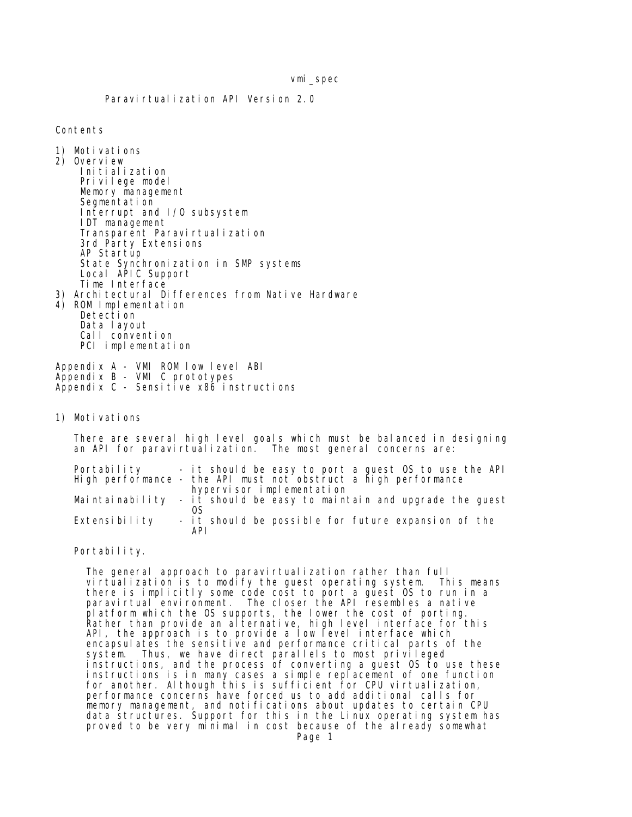Paravirtualization API Version 2.0

Contents

- 1) Motivations
- 2) Overview
- Initialization Privilege model Memory management Segmentation Interrupt and I/O subsystem IDT management Transparent Paravirtualization 3rd Party Extensions AP Startup State Synchronization in SMP systems Local APIC Support Time Interface 3) Architectural Differences from Native Hardware 4) ROM Implementation Detection Data layout
	- Call convention PCI implementation

Appendix A - VMI ROM low level ABI Appendix B - VMI C prototypes Appendix C - Sensitive x86 instructions

1) Motivations

 There are several high level goals which must be balanced in designing an API for paravirtualization. The most general concerns are:

| Portability   | - it should be easy to port a guest OS to use the API                 |
|---------------|-----------------------------------------------------------------------|
|               | High performance - the API must not obstruct a high performance       |
|               | hypervisor implementation                                             |
|               | Maintainability - it should be easy to maintain and upgrade the quest |
| Extensibility | - it should be possible for future expansion of the                   |
|               | API                                                                   |

Portability.

 The general approach to paravirtualization rather than full virtualization is to modify the guest operating system. This means there is implicitly some code cost to port a guest OS to run in a paravirtual environment. The closer the API resembles a native platform which the OS supports, the lower the cost of porting. Rather than provide an alternative, high level interface for this API, the approach is to provide a low level interface which encapsulates the sensitive and performance critical parts of the system. Thus, we have direct parallels to most privileged instructions, and the process of converting a guest OS to use these instructions is in many cases a simple replacement of one function for another. Although this is sufficient for CPU virtualization, performance concerns have forced us to add additional calls for memory management, and notifications about updates to certain CPU data structures. Support for this in the Linux operating system has proved to be very minimal in cost because of the already somewhat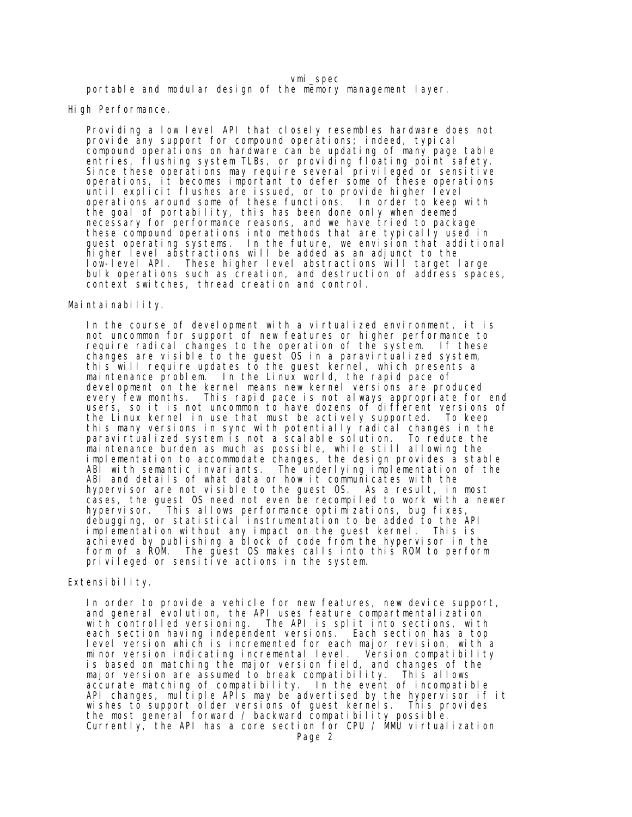portable and modular design of the memory management layer.

High Performance.

 Providing a low level API that closely resembles hardware does not provide any support for compound operations; indeed, typical compound operations on hardware can be updating of many page table entries, flushing system TLBs, or providing floating point safety. Since these operations may require several privileged or sensitive operations, it becomes important to defer some of these operations until explicit flushes are issued, or to provide higher level operations around some of these functions. In order to keep with the goal of portability, this has been done only when deemed necessary for performance reasons, and we have tried to package these compound operations into methods that are typically used in guest operating systems. In the future, we envision that additional higher level abstractions will be added as an adjunct to the low-level API. These higher level abstractions will target large bulk operations such as creation, and destruction of address spaces, context switches, thread creation and control.

#### Maintainability.

In the course of development with a virtualized environment, it is not uncommon for support of new features or higher performance to require radical changes to the operation of the system. If these changes are visible to the guest OS in a paravirtualized system, this will require updates to the guest kernel, which presents a maintenance problem. In the Linux world, the rapid pace of development on the kernel means new kernel versions are produced<br>every few months. This rapid pace is not always appropriate for This rapid pace is not always appropriate for end users, so it is not uncommon to have dozens of different versions of the Linux kernel in use that must be actively supported. To keep this many versions in sync with potentially radical changes in the paravirtualized system is not a scalable solution. To reduce the maintenance burden as much as possible, while still allowing the implementation to accommodate changes, the design provides a stable ABI with semantic invariants. The underlying implementation of the ABI and details of what data or how it communicates with the hypervisor are not visible to the guest OS. As a result, in most cases, the guest OS need not even be recompiled to work with a newer hypervisor. This allows performance optimizations, bug fixes, debugging, or statistical instrumentation to be added to the API implementation without any impact on the guest kernel. This is achieved by publishing a block of code from the hypervisor in the form of a ROM. The guest OS makes calls into this ROM to perform privileged or sensitive actions in the system.

### Extensibility.

 In order to provide a vehicle for new features, new device support, and general evolution, the API uses feature compartmentalization<br>with controlled versioning. The API is split into sections, with The API is split into sections, with each section having independent versions. Each section has a top level version which is incremented for each major revision, with a minor version indicating incremental level. Version compatibility is based on matching the major version field, and changes of the major version are assumed to break compatibility. This allows accurate matching of compatibility. In the event of incompatible API changes, multiple APIs may be advertised by the hypervisor if it wishes to support older versions of guest kernels. This provides the most general forward / backward compatibility possible. Currently, the API has a core section for CPU /  $M$ MU virtualization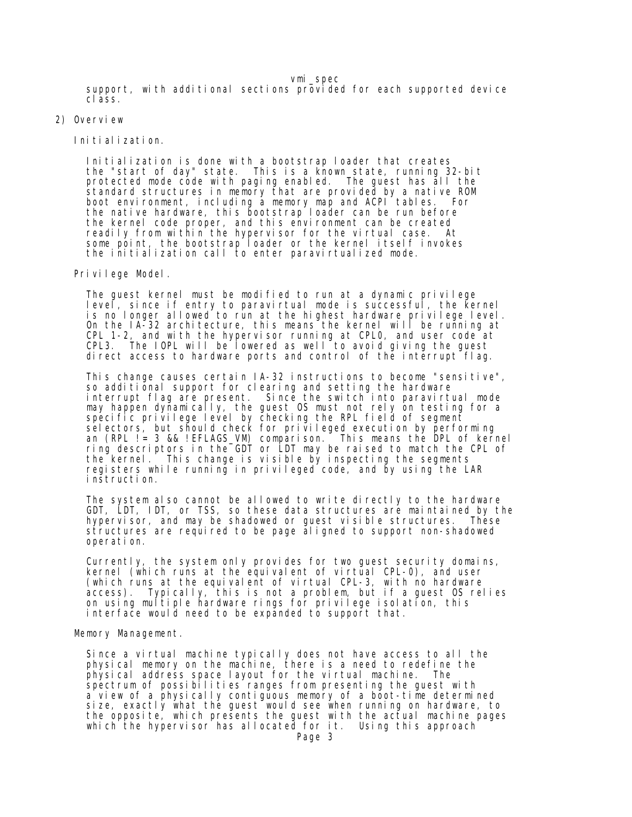vmi\_spec support, with additional sections provided for each supported device class.

2) Overview

Initialization.

 Initialization is done with a bootstrap loader that creates the "start of day" state. This is a known state, running 32-bit protected mode code with paging enabled. The guest has all the standard structures in memory that are provided by a native ROM boot environment, including a memory map and ACPI tables. For the native hardware, this bootstrap loader can be run before the kernel code proper, and this environment can be created readily from within the hypervisor for the virtual case. At some point, the bootstrap loader or the kernel itself invokes the initialization call to enter paravirtualized mode.

Privilege Model.

The guest kernel must be modified to run at a dynamic privilege level, since if entry to paravirtual mode is successful, the kernel is no longer allowed to run at the highest hardware privilege level. On the IA-32 architecture, this means the kernel will be running at CPL 1-2, and with the hypervisor running at CPL0, and user code at CPL3. The IOPL will be lowered as well to avoid giving the guest direct access to hardware ports and control of the interrupt flag.

 This change causes certain IA-32 instructions to become "sensitive", so additional support for clearing and setting the hardware interrupt flag are present. Since the switch into paravirtual mode may happen dynamically, the guest OS must not rely on testing for a specific privilege level by checking the RPL field of segment selectors, but should check for privileged execution by performing an (RPL != 3 && !EFLAGS\_VM) comparison. This means the DPL of kernel ring descriptors in the GDT or LDT may be raised to match the CPL of the kernel. This change is visible by inspecting the segments registers while running in privileged code, and by using the LAR instruction.

 The system also cannot be allowed to write directly to the hardware GDT, LDT, IDT, or TSS, so these data structures are maintained by the hypervisor, and may be shadowed or guest visible structures. These structures are required to be page aligned to support non-shadowed operation.

 Currently, the system only provides for two guest security domains, kernel (which runs at the equivalent of virtual CPL-0), and user (which runs at the equivalent of virtual CPL-3, with no hardware access). Typically, this is not a problem, but if a guest OS relies on using multiple hardware rings for privilege isolation, this interface would need to be expanded to support that.

### Memory Management.

 Since a virtual machine typically does not have access to all the physical memory on the machine, there is a need to redefine the physical address space layout for the virtual machine. The spectrum of possibilities ranges from presenting the guest with a view of a physically contiguous memory of a boot-time determined size, exactly what the guest would see when running on hardware, to the opposite, which presents the guest with the actual machine pages which the hypervisor has allocated for it. Using this approach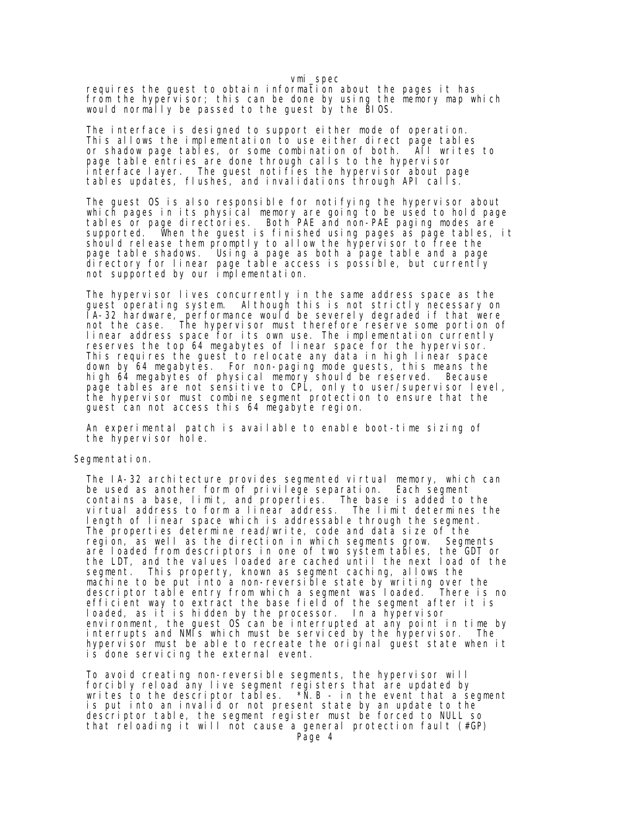requires the guest to obtain information about the pages it has from the hypervisor; this can be done by using the memory map which would normally be passed to the guest by the BIOS.

 The interface is designed to support either mode of operation. This allows the implementation to use either direct page tables or shadow page tables, or some combination of both. All writes to page table entries are done through calls to the hypervisor interface layer. The guest notifies the hypervisor about page tables updates, flushes, and invalidations through API calls.

The guest OS is also responsible for notifying the hypervisor about which pages in its physical memory are going to be used to hold page tables or page directories. Both PAE and non-PAE paging modes are supported. When the guest is finished using pages as page tables, it should release them promptly to allow the hypervisor to free the page table shadows. Using a page as both a page table and a page directory for linear page table access is possible, but currently not supported by our implementation.

The hypervisor lives concurrently in the same address space as the guest operating system. Although this is not strictly necessary on IA-32 hardware, performance would be severely degraded if that were not the case. The hypervisor must therefore reserve some portion of linear address space for its own use. The implementation currently reserves the top 64 megabytes of linear space for the hypervisor. This requires the guest to relocate any data in high linear space down by 64 megabytes. For non-paging mode guests, this means the high 64 megabytes of physical memory should be reserved. Because page tables are not sensitive to CPL, only to user/supervisor level, the hypervisor must combine segment protection to ensure that the guest can not access this 64 megabyte region.

 An experimental patch is available to enable boot-time sizing of the hypervisor hole.

#### Segmentation.

The IA-32 architecture provides segmented virtual memory, which can be used as another form of privilege separation. Each segment contains a base, limit, and properties. The base is added to the virtual address to form a linear address. The limit determines the length of linear space which is addressable through the segment. The properties determine read/write, code and data size of the region, as well as the direction in which segments grow. Segments are loaded from descriptors in one of two system tables, the GDT or the LDT, and the values loaded are cached until the next load of the segment. This property, known as segment caching, allows the machine to be put into a non-reversible state by writing over the descriptor table entry from which a segment was loaded. There is no efficient way to extract the base field of the segment after it is loaded, as it is hidden by the processor. In a hypervisor environment, the guest OS can be interrupted at any point in time by interrupts and NMIs which must be serviced by the hypervisor. The hypervisor must be able to recreate the original guest state when it is done servicing the external event.

 To avoid creating non-reversible segments, the hypervisor will forcibly reload any live segment registers that are updated by writes to the descriptor tables.  $*\bar{N}$ .B - in the event that a segment is put into an invalid or not present state by an update to the descriptor table, the segment register must be forced to NULL so that reloading it will not cause a general protection fault (#GP)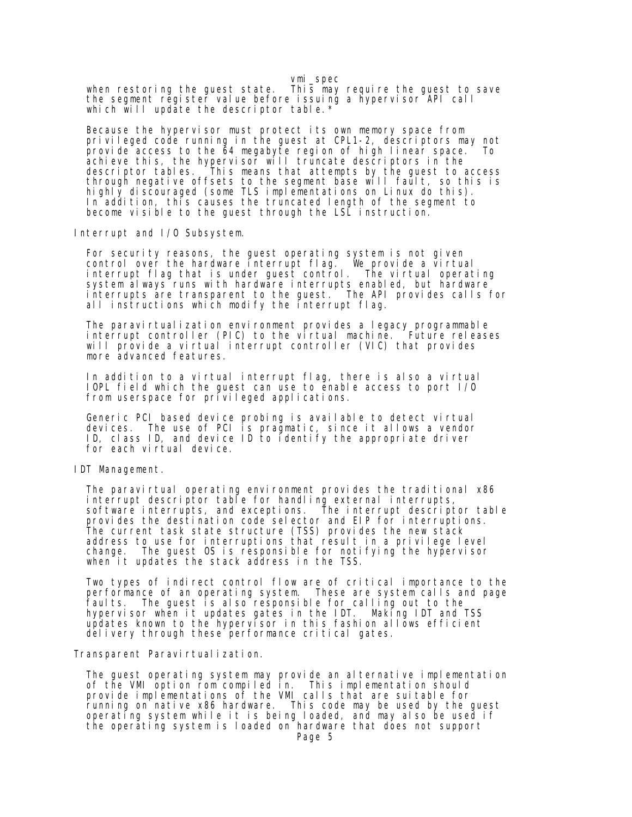vmi\_spec when restoring the guest state. This may require the guest to save the segment register value before issuing a hypervisor API call which will update the descriptor table. \*

 Because the hypervisor must protect its own memory space from privileged code running in the guest at CPL1-2, descriptors may not provide access to the 64 megabyte region of high linear space. To achieve this, the hypervisor will truncate descriptors in the descriptor tables. This means that attempts by the guest to access through negative offsets to the segment base will fault, so this is highly discouraged (some TLS implementations on Linux do this). In addition, this causes the truncated length of the segment to become visible to the guest through the LSL instruction.

Interrupt and I/O Subsystem.

For security reasons, the guest operating system is not given control over the hardware interrupt flag. We provide a virtual interrupt flag that is under guest control. The virtual operating system always runs with hardware interrupts enabled, but hardware interrupts are transparent to the guest. The API provides calls for all instructions which modify the interrupt flag.

The paravirtualization environment provides a legacy programmable interrupt controller (PIC) to the virtual machine. Future releases will provide a virtual interrupt controller (VIC) that provides more advanced features.

 In addition to a virtual interrupt flag, there is also a virtual IOPL field which the guest can use to enable access to port I/O from userspace for privileged applications.

 Generic PCI based device probing is available to detect virtual devices. The use of PCI is pragmatic, since it allows a vendor ID, class ID, and device ID to identify the appropriate driver for each virtual device.

IDT Management.

The paravirtual operating environment provides the traditional x86 interrupt descriptor table for handling external interrupts, software interrupts, and exceptions. The interrupt descriptor table provides the destination code selector and EIP for interruptions. The current task state structure (TSS) provides the new stack address to use for interruptions that result in a privilege level change. The guest OS is responsible for notifying the hypervisor when it updates the stack address in the TSS.

 Two types of indirect control flow are of critical importance to the performance of an operating system. These are system calls and page faults. The guest is also responsible for calling out to the hypervisor when it updates gates in the IDT. Making IDT and TSS updates known to the hypervisor in this fashion allows efficient delivery through these performance critical gates.

Transparent Paravirtualization.

 The guest operating system may provide an alternative implementation of the VMI option rom compiled in. This implementation should provide implementations of the VMI calls that are suitable for running on native x86 hardware. This code may be used by the guest operating system while it is being loaded, and may also be used if the operating system is loaded on hardware that does not support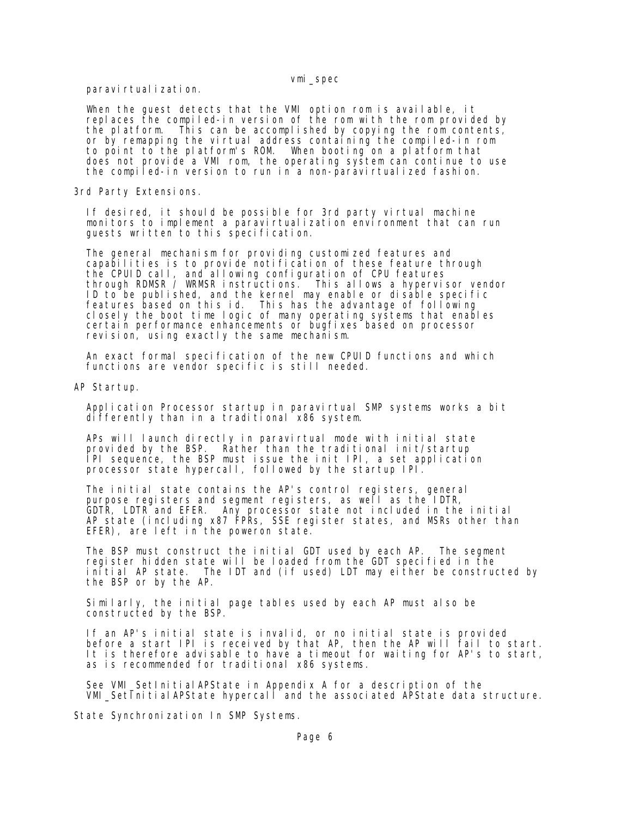paravirtual i zation.

 When the guest detects that the VMI option rom is available, it replaces the compiled-in version of the rom with the rom provided by the platform. This can be accomplished by copying the rom contents, or by remapping the virtual address containing the compiled-in rom to point to the platform's ROM. When booting on a platform that does not provide a VMI rom, the operating system can continue to use the compiled-in version to run in a non-paravirtualized fashion.

3rd Party Extensions.

 If desired, it should be possible for 3rd party virtual machine monitors to implement a paravirtualization environment that can run guests written to this specification.

 The general mechanism for providing customized features and capabilities is to provide notification of these feature through the CPUID call, and allowing configuration of CPU features through RDMSR / WRMSR instructions. This allows a hypervisor vendor ID to be published, and the kernel may enable or disable specific features based on this id. This has the advantage of following closely the boot time logic of many operating systems that enables certain performance enhancements or bugfixes based on processor revision, using exactly the same mechanism.

 An exact formal specification of the new CPUID functions and which functions are vendor specific is still needed.

AP Startup.

Application Processor startup in paravirtual SMP systems works a bit differently than in a traditional x86 system.

APs will launch directly in paravirtual mode with initial state provided by the BSP. Rather than the traditional init/startup Rather than the traditional init/startup IPI sequence, the BSP must issue the init IPI, a set application processor state hypercall, followed by the startup IPI.

 The initial state contains the AP's control registers, general purpose registers and segment registers, as well as the IDTR, GDTR, LDTR and EFER. Any processor state not included in the initial AP state (including x87 FPRs, SSE register states, and MSRs other than EFER), are left in the poweron state.

 The BSP must construct the initial GDT used by each AP. The segment register hidden state will be loaded from the GDT specified in the initial AP state. The IDT and (if used) LDT may either be constructed by the BSP or by the AP.

 Similarly, the initial page tables used by each AP must also be constructed by the BSP.

 If an AP's initial state is invalid, or no initial state is provided before a start IPI is received by that AP, then the AP will fail to start. It is therefore advisable to have a timeout for waiting for AP's to start, as is recommended for traditional x86 systems.

 See VMI\_SetInitialAPState in Appendix A for a description of the  $VML$  SetInitial APState hypercall and the associated APState data structure.

State Synchronization In SMP Systems.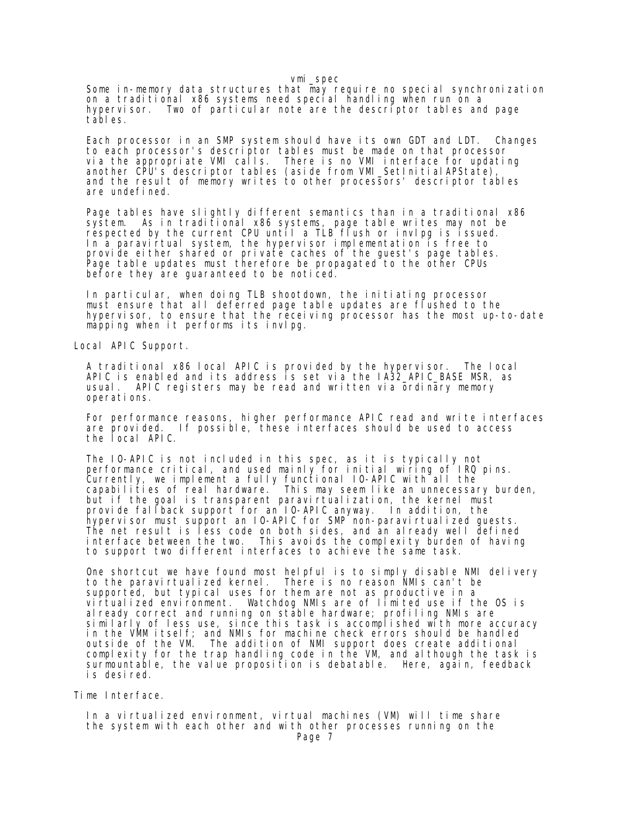Some in-memory data structures that may require no special synchronization on a traditional x86 systems need special handling when run on a hypervisor. Two of particular note are the descriptor tables and page tables.

 Each processor in an SMP system should have its own GDT and LDT. Changes to each processor's descriptor tables must be made on that processor via the appropriate VMI calls. There is no VMI interface for updating another CPU's descriptor tables (aside from VMI\_SetInitialAPState), and the result of memory writes to other processors' descriptor tables are undefined.

 Page tables have slightly different semantics than in a traditional x86 system. As in traditional x86 systems, page table writes may not be respected by the current CPU until a TLB flush or invlpg is issued. In a paravirtual system, the hypervisor implementation is free to provide either shared or private caches of the guest's page tables. Page table updates must therefore be propagated to the other CPUs before they are guaranteed to be noticed.

 In particular, when doing TLB shootdown, the initiating processor must ensure that all deferred page table updates are flushed to the hypervisor, to ensure that the receiving processor has the most up-to-date mapping when it performs its invlpg.

Local APIC Support.

 A traditional x86 local APIC is provided by the hypervisor. The local APIC is enabled and its address is set via the IA32\_APIC\_BASE MSR, as usual. APIC registers may be read and written via ordinary memory operations.

 For performance reasons, higher performance APIC read and write interfaces are provided. If possible, these interfaces should be used to access the local APIC.

 The IO-APIC is not included in this spec, as it is typically not performance critical, and used mainly for initial wiring of IRQ pins. Currently, we implement a fully functional IO-APIC with all the capabilities of real hardware. This may seem like an unnecessary burden, but if the goal is transparent paravirtualization, the kernel must provide fallback support for an IO-APIC anyway. In addition, the hypervisor must support an IO-APIC for SMP non-paravirtualized guests. The net result is less code on both sides, and an already well defined interface between the two. This avoids the complexity burden of having to support two different interfaces to achieve the same task.

 One shortcut we have found most helpful is to simply disable NMI delivery to the paravirtualized kernel. There is no reason NMIs can't be supported, but typical uses for them are not as productive in a virtualized environment. Watchdog NMIs are of limited use if the OS is already correct and running on stable hardware; profiling NMIs are similarly of less use, since this task is accomplished with more accuracy in the VMM itself; and NMIs for machine check errors should be handled outside of the VM. The addition of NMI support does create additional complexity for the trap handling code in the VM, and although the task is surmountable, the value proposition is debatable. Here, again, feedback is desired.

Time Interface.

 In a virtualized environment, virtual machines (VM) will time share the system with each other and with other processes running on the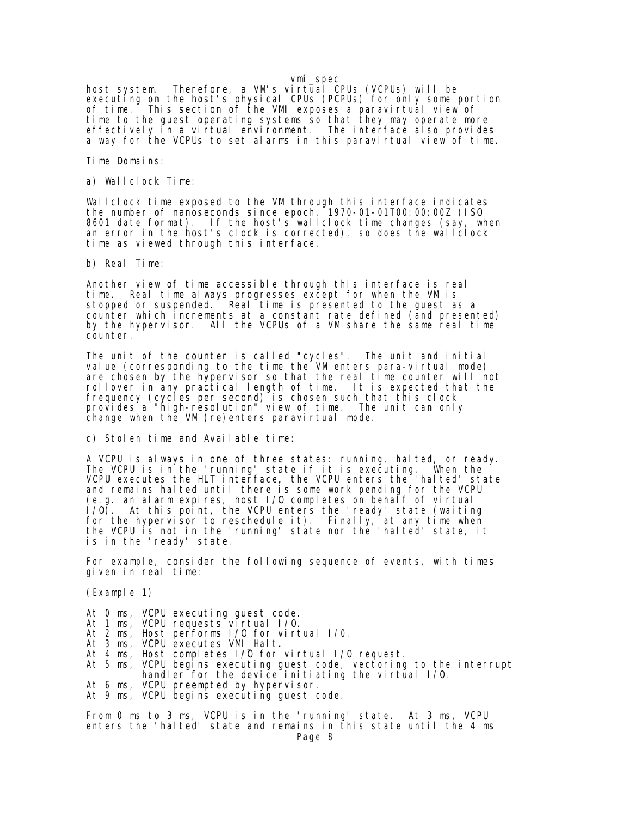host system. Therefore, a VM's virtual CPUs (VCPUs) will be executing on the host's physical CPUs (PCPUs) for only some portion of time. This section of the VMI exposes a paravirtual view of time to the guest operating systems so that they may operate more effectively in a virtual environment. The interface also provides a way for the VCPUs to set alarms in this paravirtual view of time.

Time Domains:

a) Wallclock Time:

 Wallclock time exposed to the VM through this interface indicates the number of nanoseconds since epoch, 1970-01-01T00:00:00Z (ISO 8601 date format). If the host's wallclock time changes (say, when an error in the host's clock is corrected), so does the wallclock time as viewed through this interface.

b) Real Time:

 Another view of time accessible through this interface is real time. Real time always progresses except for when the VM is stopped or suspended. Real time is presented to the guest as a counter which increments at a constant rate defined (and presented) by the hypervisor. All the VCPUs of a VM share the same real time counter.

 The unit of the counter is called "cycles". The unit and initial value (corresponding to the time the VM enters para-virtual mode) are chosen by the hypervisor so that the real time counter will not rollover in any practical length of time. It is expected that the frequency (cycles per second) is chosen such that this clock provides a "high-resolution" view of time. The unit can only change when the VM (re)enters paravirtual mode.

c) Stolen time and Available time:

 A VCPU is always in one of three states: running, halted, or ready. The VCPU is in the 'running' state if it is executing. When the VCPU executes the HLT interface, the VCPU enters the 'halted' state and remains halted until there is some work pending for the VCPU (e.g. an alarm expires, host I/O completes on behalf of virtual I/O). At this point, the VCPU enters the 'ready' state (waiting for the hypervisor to reschedule it). Finally, at any time when the VCPU is not in the 'running' state nor the 'halted' state, it is in the 'ready' state.

 For example, consider the following sequence of events, with times given in real time:

(Example 1)

- At 0 ms, VCPU executing guest code.
- At 1 ms, VCPU requests virtual 1/0.
- At 2 ms, Host performs I/O for virtual I/0.
- At 3 ms, VCPU executes VMI\_Halt.
	- At 4 ms, Host completes  $1/\overline{0}$  for virtual  $1/0$  request.
- At 5 ms, VCPU begins executing guest code, vectoring to the interrupt handler for the device initiating the virtual I/O.
- At 6 ms, VCPU preempted by hypervisor. At 9 ms, VCPU begins executing guest code.

 From 0 ms to 3 ms, VCPU is in the 'running' state. At 3 ms, VCPU enters the 'halted' state and remains in this state until the 4 ms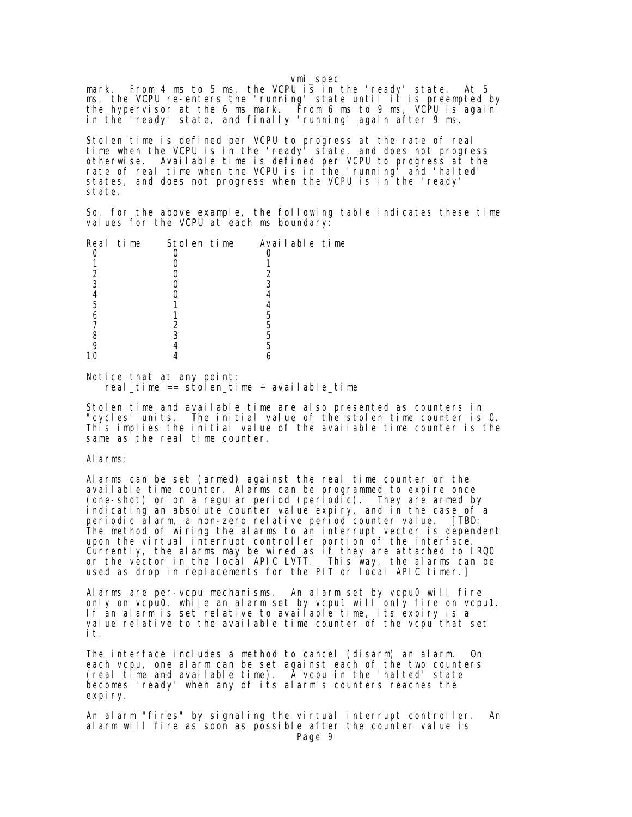mark. From 4 ms to 5 ms, the VCPU is in the 'ready' state. At 5 ms, the VCPU re-enters the 'running' state until it is preempted by the hypervisor at the 6 ms mark. From 6 ms to 9 ms, VCPU is again in the 'ready' state, and finally 'running' again after 9 ms.

 Stolen time is defined per VCPU to progress at the rate of real time when the VCPU is in the 'ready' state, and does not progress otherwise. Available time is defined per VCPU to progress at the rate of real time when the VCPU is in the 'running' and 'halted' states, and does not progress when the VCPU is in the 'ready' state.

 So, for the above example, the following table indicates these time values for the VCPU at each ms boundary.

|  |  | Real time Stolen time Available time |  |
|--|--|--------------------------------------|--|
|  |  |                                      |  |
|  |  |                                      |  |
|  |  |                                      |  |
|  |  |                                      |  |
|  |  |                                      |  |
|  |  |                                      |  |
|  |  |                                      |  |
|  |  |                                      |  |
|  |  |                                      |  |
|  |  |                                      |  |
|  |  |                                      |  |
|  |  |                                      |  |

 Notice that at any point:  $real_t$ ime == stolen\_time + available\_time

 Stolen time and available time are also presented as counters in "cycles" units. The initial value of the stolen time counter is 0. This implies the initial value of the available time counter is the same as the real time counter.

### Alarms:

 Alarms can be set (armed) against the real time counter or the available time counter. Alarms can be programmed to expire once (one-shot) or on a regular period (periodic). They are armed by indicating an absolute counter value expiry, and in the case of a periodic alarm, a non-zero relative period counter value. [TBD: The method of wiring the alarms to an interrupt vector is dependent upon the virtual interrupt controller portion of the interface. Currently, the alarms may be wired as if they are attached to IRQ0 or the vector in the local APIC LVTT. This way, the alarms can be used as drop in replacements for the PIT or local APIC timer.]

 Alarms are per-vcpu mechanisms. An alarm set by vcpu0 will fire only on  $vcpu0$ , while an alarm set by  $vcpu1$  will only fire on  $vcpu1$ . If an alarm is set relative to available time, its expiry is a value relative to the available time counter of the vcpu that set it.

 The interface includes a method to cancel (disarm) an alarm. On each vcpu, one alarm can be set against each of the two counters (real time and available time). A vcpu in the 'halted' state becomes 'ready' when any of its alarm's counters reaches the expiry.

 An alarm "fires" by signaling the virtual interrupt controller. An alarm will fire as soon as possible after the counter value is Page 9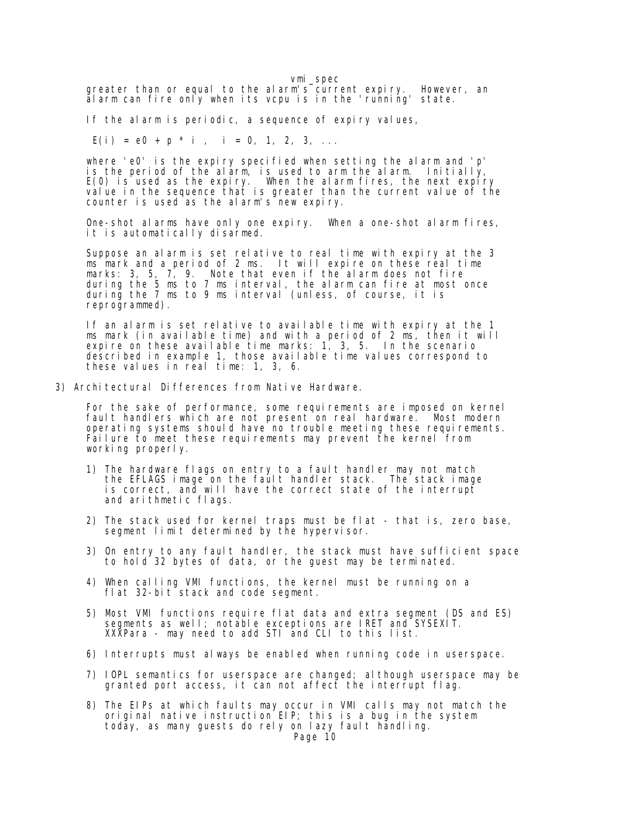greater than or equal to the alarm's current expiry. However, an alarm can fire only when its vcpu is in the 'running' state.

If the alarm is periodic, a sequence of expiry values,

 $E(i) = e0 + p * i$ ,  $i = 0, 1, 2, 3, ...$ 

 where 'e0' is the expiry specified when setting the alarm and 'p' is the period of the alarm, is used to arm the alarm. Initially, E(0) is used as the expiry. When the alarm fires, the next expiry value in the sequence that is greater than the current value of the counter is used as the alarm's new expiry.

 One-shot alarms have only one expiry. When a one-shot alarm fires, it is automatically disarmed.

 Suppose an alarm is set relative to real time with expiry at the 3 ms mark and a period of 2 ms. It will expire on these real time marks: 3, 5, 7, 9. Note that even if the alarm does not fire during the 5 ms to 7 ms interval, the alarm can fire at most once during the 7 ms to 9 ms interval (unless, of course, it is reprogrammed).

 If an alarm is set relative to available time with expiry at the 1 ms mark (in available time) and with a period of 2 ms, then it will expire on these available time marks: 1, 3, 5. In the scenario described in example 1, those available time values correspond to these values in real time: 1, 3, 6.

3) Architectural Differences from Native Hardware.

 For the sake of performance, some requirements are imposed on kernel fault handlers which are not present on real hardware. Most modern operating systems should have no trouble meeting these requirements. Failure to meet these requirements may prevent the kernel from working properly.

- 1) The hardware flags on entry to a fault handler may not match the EFLAGS image on the fault handler stack. The stack image is correct, and will have the correct state of the interrupt and arithmetic flags.
- 2) The stack used for kernel traps must be flat that is, zero base, segment limit determined by the hypervisor.
- 3) On entry to any fault handler, the stack must have sufficient space to hold 32 bytes of data, or the guest may be terminated.
- 4) When calling VMI functions, the kernel must be running on a flat 32-bit stack and code segment.
- 5) Most VMI functions require flat data and extra segment (DS and ES) segments as well; notable exceptions are IRET and SYSEXIT. XXXPara - may need to add STI and CLI to this list.
- 6) Interrupts must always be enabled when running code in userspace.
- 7) IOPL semantics for userspace are changed; although userspace may be granted port access, it can not affect the interrupt flag.
- 8) The EIPs at which faults may occur in VMI calls may not match the original native instruction EIP; this is a bug in the system today, as many guests do rely on lazy fault handling.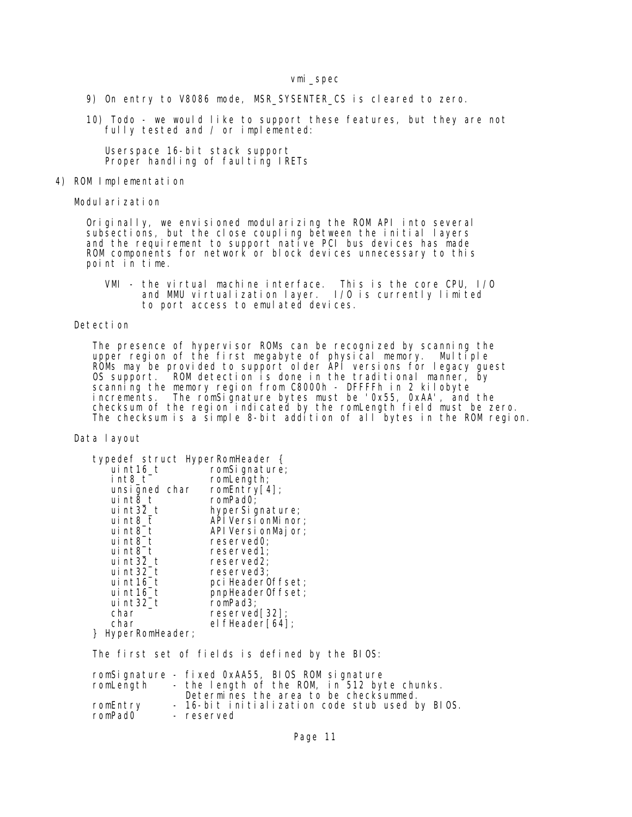9) On entry to V8086 mode, MSR\_SYSENTER\_CS is cleared to zero.

 10) Todo - we would like to support these features, but they are not fully tested and / or implemented:

> Userspace 16-bit stack support Proper handling of faulting IRETs

#### 4) ROM Implementation

Modularization

 Originally, we envisioned modularizing the ROM API into several subsections, but the close coupling between the initial layers and the requirement to support native PCI bus devices has made ROM components for network or block devices unnecessary to this point in time.

> VMI - the virtual machine interface. This is the core CPU, I/O and MMU virtualization layer. I/O is currently limited to port access to emulated devices.

## Detection

The presence of hypervisor ROMs can be recognized by scanning the upper region of the first megabyte of physical memory. Multiple ROMs may be provided to support older API versions for legacy guest OS support. ROM detection is done in the traditional manner, by scanning the memory region from C8000h - DFFFFh in 2 kilobyte increments. The romSignature bytes must be '0x55, 0xAA', and the checksum of the region indicated by the romLength field must be zero. The checksum is a simple 8-bit addition of all bytes in the ROM region.

#### Data layout

|               | typedef struct HyperRomHeader { |
|---------------|---------------------------------|
| uint16 t      | romSignature;                   |
| int8 t        | romLength;                      |
| unsigned char | romEntry[4];                    |
| $ui$ nt $8_t$ | romPadO;                        |
| ui $nt32_t$   | hyperSignature;                 |
| $ui$ nt $8_t$ | API Versi onMi nor;             |
| uint8 t       | API Versi onMajor;              |
| uint8 t       | reserved0;                      |
| $ui$ nt $8_t$ | reserved1;                      |
| ui $nt32_t$   | reserved2;                      |
| ui $nt32_t$   | reserved3:                      |
| ui nt $16$ _t | pci HeaderOffset;               |
| uint16 t      | pnpHeaderOffset;                |
| ui $nt32_t$   | romPad3;                        |
| char          | reserved[32]                    |
| char          | el fHeader[64];                 |

} HyperRomHeader;

The first set of fields is defined by the BIOS:

| romLength           | romSignature - fixed 0xAA55, BIOS ROM signature<br>- the length of the ROM, in 512 byte chunks.<br>Determines the area to be checksummed. |
|---------------------|-------------------------------------------------------------------------------------------------------------------------------------------|
| romEntry            | - 16-bit initialization code stub used by BIOS.                                                                                           |
| romPad <sub>0</sub> | - reserved                                                                                                                                |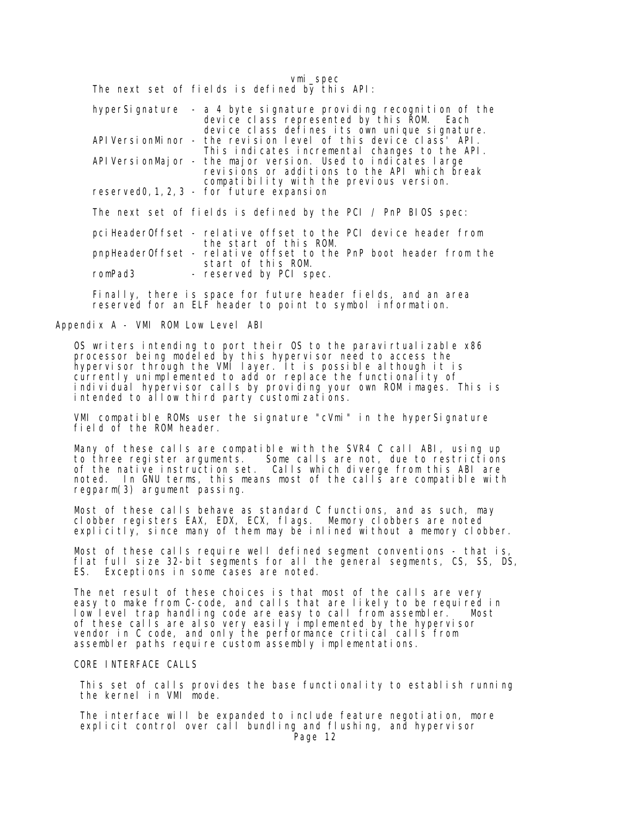vmi\_spec The next set of fields is defined by this API:

| hyperSignature - a 4 byte signature providing recognition of the<br>device class represented by this ROM. Each<br>device class defines its own unique signature. |  |
|------------------------------------------------------------------------------------------------------------------------------------------------------------------|--|
| API VersionMinor - the revision level of this device class API.<br>This indicates incremental changes to the API.                                                |  |
| API VersionMajor - the major version. Used to indicates large<br>revisions or additions to the API which break<br>compatibility with the previous version.       |  |
| reserved0, 1, 2, 3 - for future expansion                                                                                                                        |  |
| The next set of fields is defined by the PCI / PnP BIOS spec:                                                                                                    |  |
| pciHeaderOffset - relative offset to the PCI device header from<br>the start of this ROM.                                                                        |  |
| pnpHeaderOffset - relative offset to the PnP boot header from the<br>start of this ROM.                                                                          |  |
| romPad3<br>- reserved by PCI spec.                                                                                                                               |  |

 Finally, there is space for future header fields, and an area reserved for an ELF header to point to symbol information.

Appendix A - VMI ROM Low Level ABI

 OS writers intending to port their OS to the paravirtualizable x86 processor being modeled by this hypervisor need to access the hypervisor through the VMI layer. It is possible although it is currently unimplemented to add or replace the functionality of individual hypervisor calls by providing your own ROM images. This is intended to allow third party customizations.

 VMI compatible ROMs user the signature "cVmi" in the hyperSignature field of the ROM header.

 Many of these calls are compatible with the SVR4 C call ABI, using up to three register arguments. Some calls are not, due to restrictions of the native instruction set. Calls which diverge from this ABI are noted. In GNU terms, this means most of the calls are compatible with regparm(3) argument passing.

 Most of these calls behave as standard C functions, and as such, may clobber registers EAX, EDX, ECX, flags. Memory clobbers are noted explicitly, since many of them may be inlined without a memory clobber.

 Most of these calls require well defined segment conventions - that is, flat full size 32-bit segments for all the general segments, CS, SS, DS, ES. Exceptions in some cases are noted.

The net result of these choices is that most of the calls are very easy to make from C-code, and calls that are likely to be required in low level trap handling code are easy to call from assembler. Most of these calls are also very easily implemented by the hypervisor vendor in C code, and only the performance critical calls from assembler paths require custom assembly implementations.

#### CORE INTERFACE CALLS

 This set of calls provides the base functionality to establish running the kernel in VMI mode.

 The interface will be expanded to include feature negotiation, more explicit control over call bundling and flushing, and hypervisor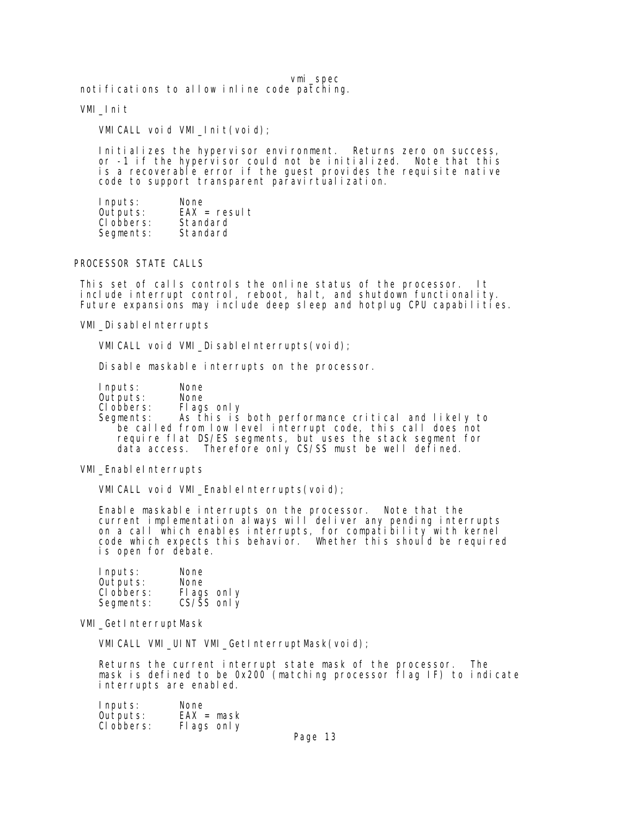notifications to allow inline code patching.

#### VMI\_Init

VMICALL void VMI\_Init(void);

Initializes the hypervisor environment. Returns zero on success, or -1 if the hypervisor could not be initialized. Note that this is a recoverable error if the guest provides the requisite native code to support transparent paravirtualization.

| Inputs:    | None           |
|------------|----------------|
| Outputs:   | $EAX = result$ |
| CI obbers: | Standard       |
| Segments:  | Standard       |
|            |                |

## PROCESSOR STATE CALLS

 This set of calls controls the online status of the processor. It include interrupt control, reboot, halt, and shutdown functionality. Future expansions may include deep sleep and hotplug CPU capabilities.

VMI\_DisableInterrupts

VMI CALL void VMI\_DisableInterrupts(void);

Disable maskable interrupts on the processor.

 Inputs: None Outputs: Clobbers: Flags only<br>Segments: As this is As this is both performance critical and likely to be called from low level interrupt code, this call does not require flat DS/ES segments, but uses the stack segment for data access. Therefore only CS/SS must be well defined.

VMI\_EnableInterrupts

VMICALL void VMI\_EnableInterrupts(void);

 Enable maskable interrupts on the processor. Note that the current implementation always will deliver any pending interrupts on a call which enables interrupts, for compatibility with kernel code which expects this behavior. Whether this should be required is open for debate.

| Inputs:    | None                    |
|------------|-------------------------|
| Outputs:   | None                    |
| CI obbers: | Fl ags only             |
| Segments:  | $CS/\overline{S}S$ only |

VMI\_GetInterruptMask

VMICALL VMI\_UINT VMI\_GetInterruptMask(void);

 Returns the current interrupt state mask of the processor. The mask is defined to be 0x200 (matching processor flag IF) to indicate interrupts are enabled.

| Inputs:    | None         |  |
|------------|--------------|--|
| Outputs:   | $EAX = mask$ |  |
| CI obbers: | Fl ags only  |  |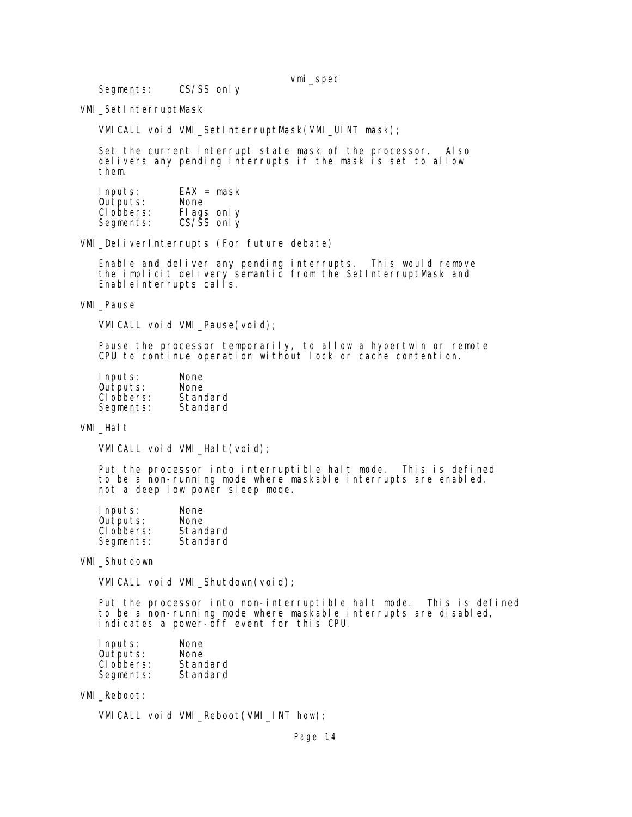Segments: CS/SS only

VMI\_SetInterruptMask

VMICALL void VMI\_SetInterruptMask(VMI\_UINT mask);

 Set the current interrupt state mask of the processor. Also delivers any pending interrupts if the mask is set to allow them.

| Inputs:    | $EAX = mask$            |
|------------|-------------------------|
| Outputs:   | None                    |
| CI obbers: | Fl ags only             |
| Segments:  | $CS/\overline{S}S$ only |

VMI\_DeliverInterrupts (For future debate)

 Enable and deliver any pending interrupts. This would remove the implicit delivery semantic from the SetInterruptMask and EnableInterrupts calls.

VMI\_Pause

VMICALL void VMI\_Pause(void);

 Pause the processor temporarily, to allow a hypertwin or remote CPU to continue operation without lock or cache contention.

| Inputs:    | None     |
|------------|----------|
| Outputs:   | None     |
| CI obbers: | Standard |
| Segments:  | Standard |

VMI\_Halt

VMI CALL void VMI\_Halt(void);

 Put the processor into interruptible halt mode. This is defined to be a non-running mode where maskable interrupts are enabled, not a deep low power sleep mode.

| Inputs:    | None     |
|------------|----------|
| Outputs:   | None     |
| CI obbers: | Standard |
| Segments:  | Standard |

VMI\_Shutdown

VMICALL void VMI\_Shutdown(void);

 Put the processor into non-interruptible halt mode. This is defined to be a non-running mode where maskable interrupts are disabled, indicates a power-off event for this CPU.

| Inputs:    | None     |
|------------|----------|
| Outputs:   | None     |
| CI obbers: | Standard |
| Segments:  | Standard |

VMI\_Reboot:

VMICALL void VMI\_Reboot(VMI\_INT how);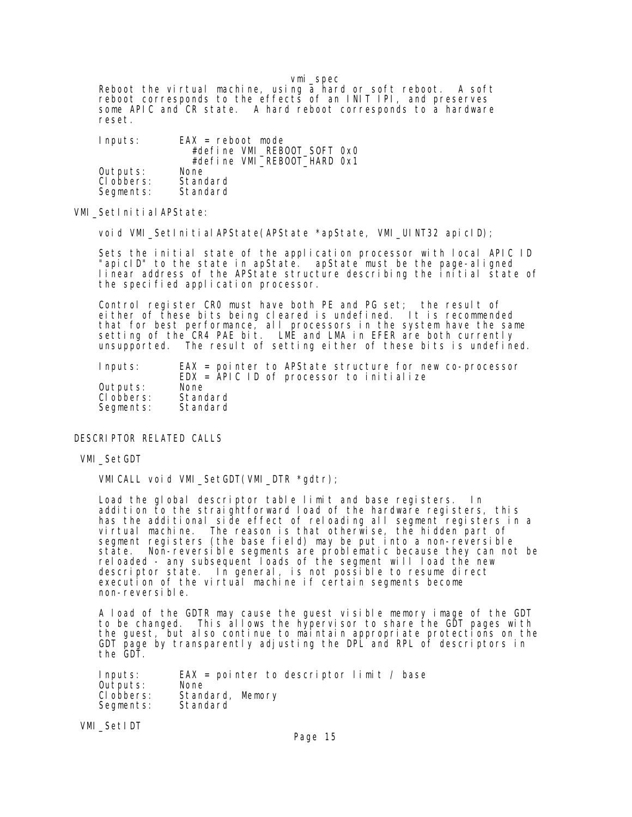vmi\_spec Reboot the virtual machine, using a hard or soft reboot. A soft reboot corresponds to the effects of an INIT IPI, and preserves some APIC and CR state. A hard reboot corresponds to a hardware reset.

| Inputs:    | $EAX =$ reboot mode         |
|------------|-----------------------------|
|            | #define VMI_REB00T_SOFT 0x0 |
|            | #define VMI_REBOOT_HARD 0x1 |
| Outputs:   | None                        |
| CI obbers: | Standard                    |
| Segments:  | Standard                    |

VMI\_SetInitialAPState:

void VMI\_SetInitialAPState(APState \*apState, VMI\_UINT32 apicID);

 Sets the initial state of the application processor with local APIC ID "apicID" to the state in apState. apState must be the page-aligned linear address of the APState structure describing the initial state of the specified application processor.

 Control register CR0 must have both PE and PG set; the result of either of these bits being cleared is undefined. It is recommended that for best performance, all processors in the system have the same setting of the CR4 PAE bit. LME and LMA in EFER are both currently unsupported. The result of setting either of these bits is undefined.

| Inputs:    | $EAX = pointer to APState structure for new co-processor$<br>$EDX = APICID of processor to ini trialize$ |
|------------|----------------------------------------------------------------------------------------------------------|
| Outputs:   | None                                                                                                     |
| CI obbers: | Standard                                                                                                 |
| Segments:  | Standard                                                                                                 |

## DESCRIPTOR RELATED CALLS

# VMI\_SetGDT

VMICALL void VMI\_SetGDT(VMI\_DTR \*gdtr);

 Load the global descriptor table limit and base registers. In addition to the straightforward load of the hardware registers, this has the additional side effect of reloading all segment registers in a virtual machine. The reason is that otherwise, the hidden part of segment registers (the base field) may be put into a non-reversible state. Non-reversible segments are problematic because they can not be reloaded - any subsequent loads of the segment will load the new descriptor state. In general, is not possible to resume direct execution of the virtual machine if certain segments become non-reversible.

 A load of the GDTR may cause the guest visible memory image of the GDT to be changed. This allows the hypervisor to share the GDT pages with the guest, but also continue to maintain appropriate protections on the GDT page by transparently adjusting the DPL and RPL of descriptors in the GDT.

| Inputs:    | EAX = pointer to descriptor $\lim i \neq b$ base |
|------------|--------------------------------------------------|
| Outputs:   | None                                             |
| CI obbers: | Standard, Memory                                 |
| Segments:  | Standard                                         |

VMI\_SetIDT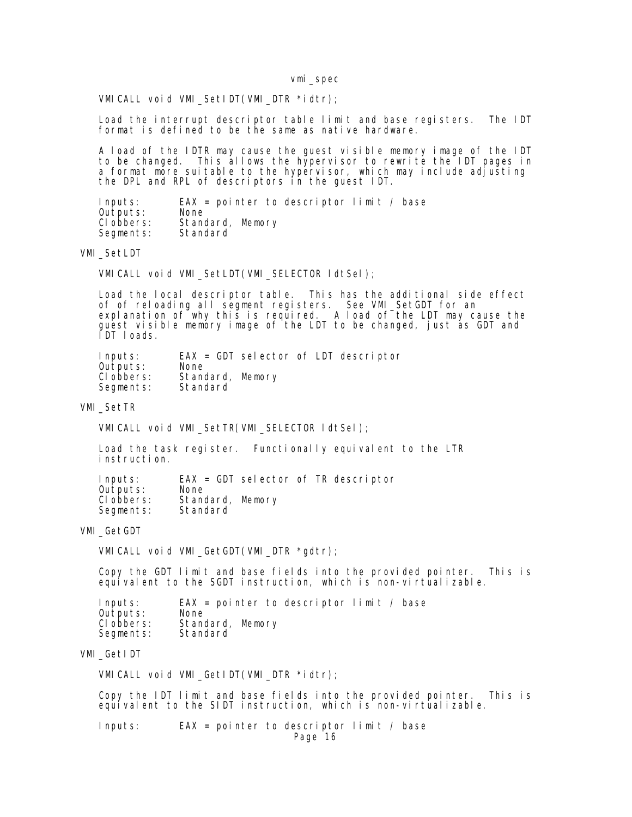VMICALL void VMI\_SetIDT(VMI\_DTR \*idtr);

 Load the interrupt descriptor table limit and base registers. The IDT format is defined to be the same as native hardware.

 A load of the IDTR may cause the guest visible memory image of the IDT to be changed. This allows the hypervisor to rewrite the IDT pages in a format more suitable to the hypervisor, which may include adjusting the DPL and RPL of descriptors in the guest IDT.

| Inputs:    | $EAX = point$ pointer to descriptor limit / base |
|------------|--------------------------------------------------|
| Outputs:   | <b>None</b>                                      |
| CI obbers: | Standard, Memory                                 |
| Segments:  | Standard                                         |

VMI\_SetLDT

VMICALL void VMI\_SetLDT(VMI\_SELECTOR ldtSel);

 Load the local descriptor table. This has the additional side effect of of reloading all segment registers. See VMI\_SetGDT for an explanation of why this is required. A load of the LDT may cause the guest visible memory image of the LDT to be changed, just as GDT and IDT loads.

| Inputs:    |                  |  | $EAX = GDT$ selector of LDT descriptor |
|------------|------------------|--|----------------------------------------|
| Outputs:   | <b>None</b>      |  |                                        |
| CI obbers: | Standard, Memory |  |                                        |
| Segments:  | Standard         |  |                                        |

VMI\_SetTR

VMICALL void VMI\_SetTR(VMI\_SELECTOR ldtSel);

 Load the task register. Functionally equivalent to the LTR instruction.

| Inputs:    |                  |  | $EAX = GDT$ selector of TR descriptor |
|------------|------------------|--|---------------------------------------|
| Outputs:   | None             |  |                                       |
| CI obbers: | Standard, Memory |  |                                       |
| Segments:  | Standard         |  |                                       |

VMI\_GetGDT

VMICALL void VMI GetGDT(VMI DTR \*gdtr);

 Copy the GDT limit and base fields into the provided pointer. This is equivalent to the SGDT instruction, which is non-virtualizable.

| Inputs:    | $EAX = pointer to describe the function limit / base$ |
|------------|-------------------------------------------------------|
| Outputs:   | None                                                  |
| CI obbers: | Standard, Memory                                      |
| Segments:  | Standard                                              |

## VMI\_GetIDT

VMICALL void VMI\_GetIDT(VMI\_DTR \*idtr);

 Copy the IDT limit and base fields into the provided pointer. This is equivalent to the SIDT instruction, which is non-virtualizable.

 Inputs: EAX = pointer to descriptor limit / base Page 16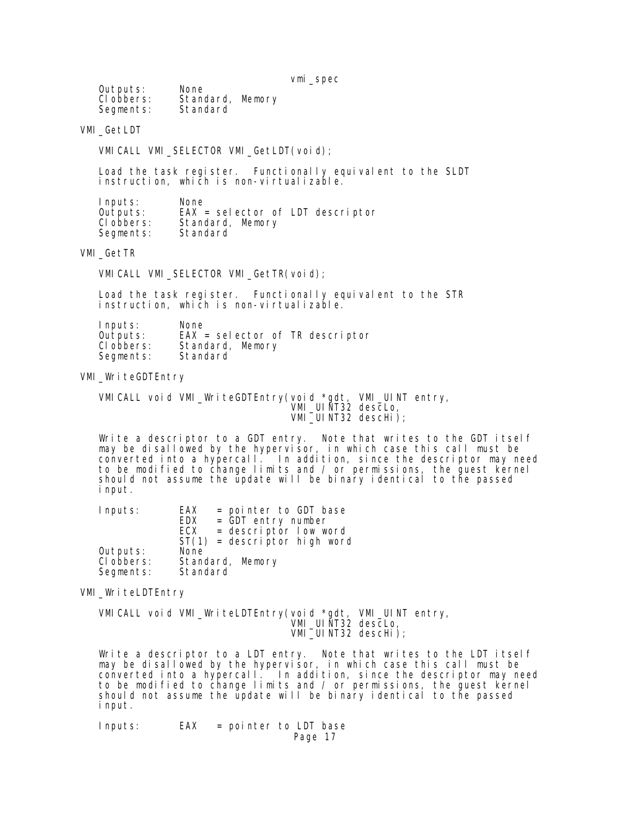| Outputs:<br>CI obbers:<br>Segments: | None<br>Standard, Memory<br>Standard |  |
|-------------------------------------|--------------------------------------|--|
|                                     |                                      |  |

## VMI\_GetLDT

VMICALL VMI\_SELECTOR VMI\_GetLDT(void);

 Load the task register. Functionally equivalent to the SLDT instruction, which is non-virtualizable.

| Inputs:    | None                               |
|------------|------------------------------------|
| Outputs:   | $EAX = selector of LDT$ descriptor |
| CI obbers: | Standard, Memory                   |
| Segments:  | Standard                           |

VMI\_GetTR

VMICALL VMI\_SELECTOR VMI\_GetTR(void);

 Load the task register. Functionally equivalent to the STR instruction, which is non-virtualizable.

| Inputs:    | None                              |
|------------|-----------------------------------|
| Outputs:   | $EAX = selector$ of TR descriptor |
| CI obbers: | Standard, Memory                  |
| Segments:  | Standard                          |

VMI\_WriteGDTEntry

 VMICALL void VMI\_WriteGDTEntry(void \*gdt, VMI\_UINT entry, **VMI\_UINT32 descLo,** VMI\_UINT32 descHi);

 Write a descriptor to a GDT entry. Note that writes to the GDT itself may be disallowed by the hypervisor, in which case this call must be converted into a hypercall. In addition, since the descriptor may need to be modified to change limits and / or permissions, the guest kernel should not assume the update will be binary identical to the passed input.

| Inputs:    | <b>EAX</b><br>= pointer to GDT base |
|------------|-------------------------------------|
|            | EDX<br>$=$ GDT entry number         |
|            | $=$ descriptor low word<br>ECX      |
|            | $ST(1)$ = descriptor high word      |
| Outputs:   | None                                |
| CI obbers: | Standard, Memory                    |
| Segments:  | Standard                            |

VMI WriteLDTEntry

 VMICALL void VMI\_WriteLDTEntry(void \*gdt, VMI\_UINT entry, **VMI\_UINT32 descLo,** VMI\_UINT32 descHi);

 Write a descriptor to a LDT entry. Note that writes to the LDT itself may be disallowed by the hypervisor, in which case this call must be converted into a hypercall. In addition, since the descriptor may need to be modified to change limits and / or permissions, the guest kernel should not assume the update will be binary identical to the passed input.

 Inputs: EAX = pointer to LDT base Page 17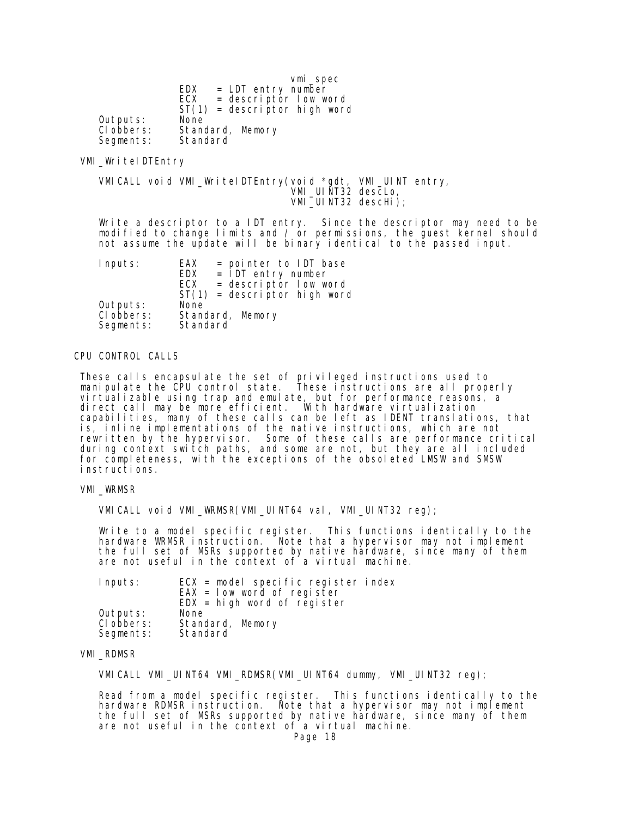|            | vmi_spec                       |
|------------|--------------------------------|
|            | $=$ LDT entry number<br>EDX    |
|            | $=$ descriptor low word<br>ECX |
|            | $ST(1)$ = descriptor high word |
| Outputs:   | None                           |
| CI obbers: | Standard, Memory               |
| Segments:  | Standard                       |

### VMI\_WriteIDTEntry

 VMICALL void VMI\_WriteIDTEntry(void \*gdt, VMI\_UINT entry, VMI\_UINT32 descLo, VMI\_UINT32 descHi);

 Write a descriptor to a IDT entry. Since the descriptor may need to be modified to change limits and / or permissions, the guest kernel should not assume the update will be binary identical to the passed input.

| Inputs:                 | = pointer to IDT base<br>EAX<br>$=$ IDT entry number<br>EDX<br>$=$ descriptor low word<br>ECX |
|-------------------------|-----------------------------------------------------------------------------------------------|
|                         | $ST(1)$ = descriptor high word                                                                |
| Outputs:                | None                                                                                          |
| CI obbers:<br>Segments: | Standard, Memory<br>Standard                                                                  |

### CPU CONTROL CALLS

 These calls encapsulate the set of privileged instructions used to manipulate the CPU control state. These instructions are all properly virtualizable using trap and emulate, but for performance reasons, a direct call may be more efficient. With hardware virtualization capabilities, many of these calls can be left as IDENT translations, that is, inline implementations of the native instructions, which are not rewritten by the hypervisor. Some of these calls are performance critical during context switch paths, and some are not, but they are all included for completeness, with the exceptions of the obsoleted LMSW and SMSW instructions.

#### VMI\_WRMSR

VMICALL void VMI\_WRMSR(VMI\_UINT64 val, VMI\_UINT32 reg);

 Write to a model specific register. This functions identically to the hardware WRMSR instruction. Note that a hypervisor may not implement the full set of MSRs supported by native hardware, since many of them are not useful in the context of a virtual machine.

| Inputs:    | $ECX$ = model specific register index |
|------------|---------------------------------------|
|            | $EAX = Iow word of register$          |
|            | $EDX = high$ word of register         |
| Outputs:   | None                                  |
| CI obbers: | Standard, Memory                      |
| Segments:  | Standard                              |

### VMI\_RDMSR

VMICALL VMI\_UINT64 VMI\_RDMSR(VMI\_UINT64 dummy, VMI\_UINT32 reg);

 Read from a model specific register. This functions identically to the hardware RDMSR instruction. Note that a hypervisor may not implement the full set of MSRs supported by native hardware, since many of them are not useful in the context of a virtual machine.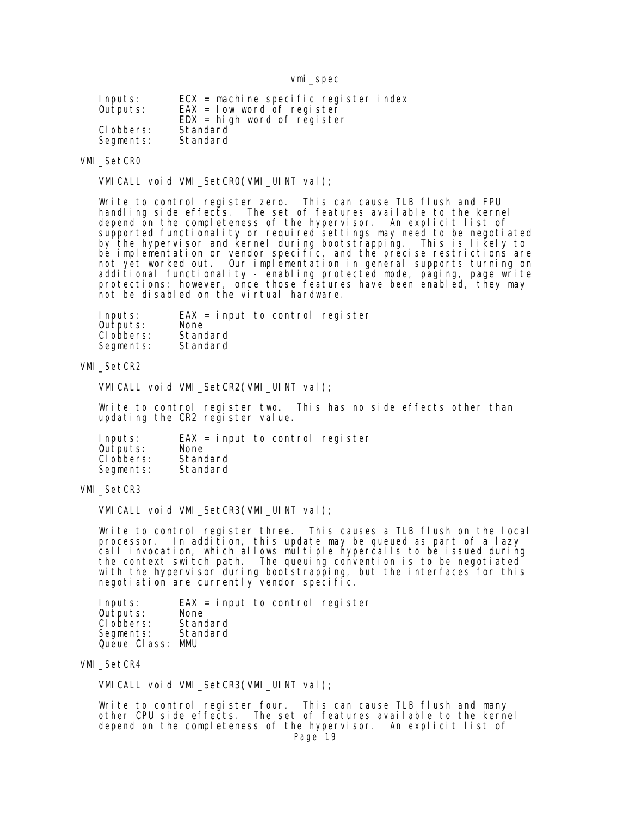| Inputs:    | $ECX$ = machine specific register index |
|------------|-----------------------------------------|
| Outputs:   | $EAX = Iow word of register$            |
|            | $EDX = high$ word of register           |
| CI obbers: | Standard                                |
| Segments:  | Standard                                |

### VMI\_SetCR0

VMICALL void VMI\_SetCR0(VMI\_UINT val);

 Write to control register zero. This can cause TLB flush and FPU handling side effects. The set of features available to the kernel depend on the completeness of the hypervisor. An explicit list of supported functionality or required settings may need to be negotiated by the hypervisor and kernel during bootstrapping. This is likely to be implementation or vendor specific, and the precise restrictions are not yet worked out. Our implementation in general supports turning on additional functionality - enabling protected mode, paging, page write protections; however, once those features have been enabled, they may not be disabled on the virtual hardware.

Inputs: EAX = input to control register<br>Outputs: None Outputs: None<br>Clobbers: Standard Clobbers: Standard<br>Segments: Standard Segments:

#### VMI SetCR2

VMICALL void VMI\_SetCR2(VMI\_UINT val);

 Write to control register two. This has no side effects other than updating the CR2 register value.

 Inputs: EAX = input to control register Outputs: None<br>Clobbers: Standard Clobbers: Standard<br>Segments: Standard Segments:

### VMI\_SetCR3

VMICALL void VMI\_SetCR3(VMI\_UINT val);

 Write to control register three. This causes a TLB flush on the local processor. In addition, this update may be queued as part of a lazy call invocation, which allows multiple hypercalls to be issued during the context switch path. The queuing convention is to be negotiated with the hypervisor during bootstrapping, but the interfaces for this negotiation are currently vendor specific.

 Inputs: EAX = input to control register Outputs: None<br>Clobbers: Standard Clobbers: Standard<br>Segments: Standard Segments: Queue Class: MMU

VMI\_SetCR4

VMICALL void VMI\_SetCR3(VMI\_UINT val);

Write to control register four. This can cause TLB flush and many other CPU side effects. The set of features available to the kernel depend on the completeness of the hypervisor. An explicit list of Page 19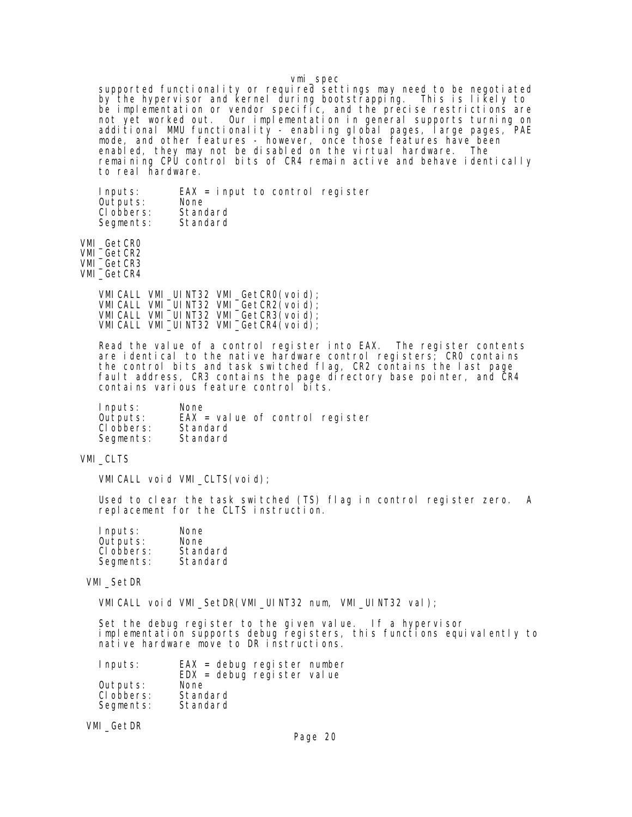supported functionality or required settings may need to be negotiated by the hypervisor and kernel during bootstrapping. This is likely to be implementation or vendor specific, and the precise restrictions are not yet worked out. Our implementation in general supports turning on additional MMU functionality - enabling global pages, large pages, PAE mode, and other features - however, once those features have been enabled, they may not be disabled on the virtual hardware. The remaining CPU control bits of CR4 remain active and behave identically to real hardware.

 Inputs: EAX = input to control register Outputs: None<br>Clobbers: Standard CI obbers: Segments: Standard

 VMI\_GetCR0 VMI\_GetCR2 VMI\_GetCR3 VMI\_GetCR4

 VMICALL VMI\_UINT32 VMI\_GetCR0(void); VMICALL VMI\_UINT32 VMI\_GetCR2(void); VMICALL VMI\_UINT32 VMI\_GetCR3(void); VMICALL VMI\_UINT32 VMI\_GetCR4(void);

> Read the value of a control register into EAX. The register contents are identical to the native hardware control registers; CR0 contains the control bits and task switched flag, CR2 contains the last page fault address, CR3 contains the page directory base pointer, and CR4 contains various feature control bits.

 Inputs: None Outputs: EAX = value of control register<br>Clobbers: Standard Clobbers: Standard<br>Segments: Standard Segments:

VMI\_CLTS

VMICALL void VMI\_CLTS(void);

 Used to clear the task switched (TS) flag in control register zero. A replacement for the CLTS instruction.

| Inputs:    | None     |
|------------|----------|
| Outputs:   | None     |
| CI obbers: | Standard |
| Segments:  | Standard |

VMI\_SetDR

VMICALL void VMI\_SetDR(VMI\_UINT32 num, VMI\_UINT32 val);

 Set the debug register to the given value. If a hypervisor implementation supports debug registers, this functions equivalently to native hardware move to DR instructions.

| Inputs:    | $EAX =$ debug register number<br>$EDX = \text{delay}$ register value |
|------------|----------------------------------------------------------------------|
| Outputs:   | None                                                                 |
| CI obbers: | Standard                                                             |
| Segments:  | Standard                                                             |

VMI\_GetDR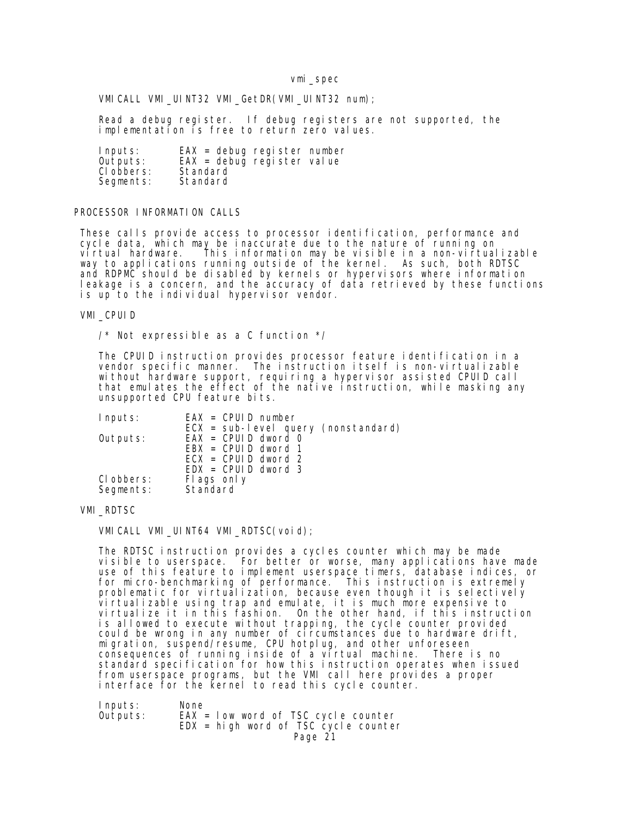VMICALL VMI\_UINT32 VMI\_GetDR(VMI\_UINT32 num);

 Read a debug register. If debug registers are not supported, the implementation is free to return zero values.

| Inputs:    | $EAX =$ debug register number |
|------------|-------------------------------|
| Outputs:   | $EAX =$ debug register value  |
| CI obbers: | Standard                      |
| Segments:  | Standard                      |

### PROCESSOR INFORMATION CALLS

 These calls provide access to processor identification, performance and cycle data, which may be inaccurate due to the nature of running on virtual hardware. This information may be visible in a non-virtualizable way to applications running outside of the kernel. As such, both RDTSC and RDPMC should be disabled by kernels or hypervisors where information leakage is a concern, and the accuracy of data retrieved by these functions is up to the individual hypervisor vendor.

### VMI\_CPUID

/\* Not expressible as a C function \*/

 The CPUID instruction provides processor feature identification in a vendor specific manner. The instruction itself is non-virtualizable without hardware support, requiring a hypervisor assisted CPUID call that emulates the effect of the native instruction, while masking any unsupported CPU feature bits.

| $EAX = CPUD number$<br>Inputs:        |  |
|---------------------------------------|--|
| $ECX = sub-level query (nonstandard)$ |  |
| $EAX = CPUD$ dword 0<br>Outputs:      |  |
| $EBX = CPUD$ dword 1                  |  |
| $ECX = CPUID$ dword 2                 |  |
| $EDX = CPUD$ dword 3                  |  |
| CI obbers:<br>Flags only              |  |
| Standard<br>Segments:                 |  |

## VMI\_RDTSC

VMICALL VMI\_UINT64 VMI\_RDTSC(void);

 The RDTSC instruction provides a cycles counter which may be made visible to userspace. For better or worse, many applications have made use of this feature to implement userspace timers, database indices, or for micro-benchmarking of performance. This instruction is extremely problematic for virtualization, because even though it is selectively virtualizable using trap and emulate, it is much more expensive to virtualize it in this fashion. On the other hand, if this instruction is allowed to execute without trapping, the cycle counter provided could be wrong in any number of circumstances due to hardware drift, migration, suspend/resume, CPU hotplug, and other unforeseen consequences of running inside of a virtual machine. There is no standard specification for how this instruction operates when issued from userspace programs, but the VMI call here provides a proper interface for the kernel to read this cycle counter.

| Inputs:  | None                                    |
|----------|-----------------------------------------|
| Outputs: | $EAX = Iow word of TSC cycle counter$   |
|          | $EDX = hi$ gh word of TSC cycle counter |
|          | Page 21                                 |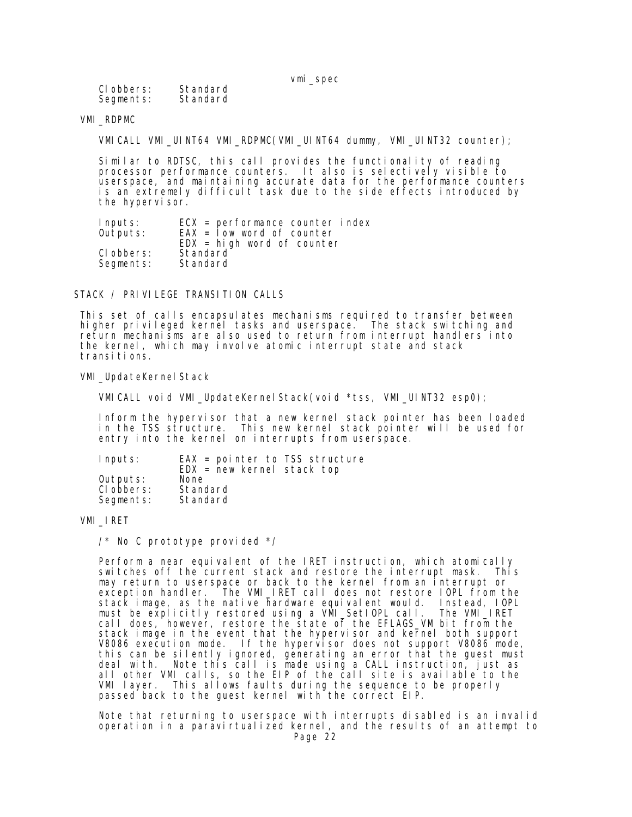| CI obbers: | Standard |
|------------|----------|
| Segments:  | Standard |

## VMI\_RDPMC

VMICALL VMI\_UINT64 VMI\_RDPMC(VMI\_UINT64 dummy, VMI\_UINT32 counter);

 Similar to RDTSC, this call provides the functionality of reading processor performance counters. It also is selectively visible to userspace, and maintaining accurate data for the performance counters is an extremely difficult task due to the side effects introduced by the hypervisor.

| Inputs:    | $ECX = performance counterindex$          |
|------------|-------------------------------------------|
| Outputs:   | $EAX =$ $\overline{I}$ ow word of counter |
|            | $EDX = high word of counter$              |
| CI obbers: | Standard                                  |
| Segments:  | Standard                                  |
|            |                                           |

STACK / PRIVILEGE TRANSITION CALLS

 This set of calls encapsulates mechanisms required to transfer between higher privileged kernel tasks and userspace. The stack switching and return mechanisms are also used to return from interrupt handlers into the kernel, which may involve atomic interrupt state and stack transi ti ons.

#### VMI\_UpdateKernel Stack

VMICALL void VMI\_UpdateKernelStack(void \*tss, VMI\_UINT32 esp0);

 Inform the hypervisor that a new kernel stack pointer has been loaded in the TSS structure. This new kernel stack pointer will be used for entry into the kernel on interrupts from userspace.

| Inputs:                | $EAX = point$ pointer to TSS structure<br>$EDX = new Kernel stack top$ |
|------------------------|------------------------------------------------------------------------|
| Outputs:<br>CI obbers: | None<br>Standard                                                       |
| Segments:              | Standard                                                               |

### VMI\_IRET

 $\frac{1}{2}$  No C prototype provided  $\frac{1}{2}$ 

 Perform a near equivalent of the IRET instruction, which atomically switches off the current stack and restore the interrupt mask. This may return to userspace or back to the kernel from an interrupt or exception handler. The VMI\_IRET call does not restore IOPL from the stack image, as the native hardware equivalent would. Instead, IOPL must be explicitly restored using a VMI\_SetIOPL call. The VMI\_IRET call does, however, restore the state of the EFLAGS\_VM bit from the stack image in the event that the hypervisor and kernel both support V8086 execution mode. If the hypervisor does not support V8086 mode, this can be silently ignored, generating an error that the guest must deal with. Note this call is made using a CALL instruction, just as all other VMI calls, so the EIP of the call site is available to the VMI layer. This allows faults during the sequence to be properly passed back to the guest kernel with the correct EIP.

 Note that returning to userspace with interrupts disabled is an invalid operation in a paravirtualized kernel, and the results of an attempt to Page 22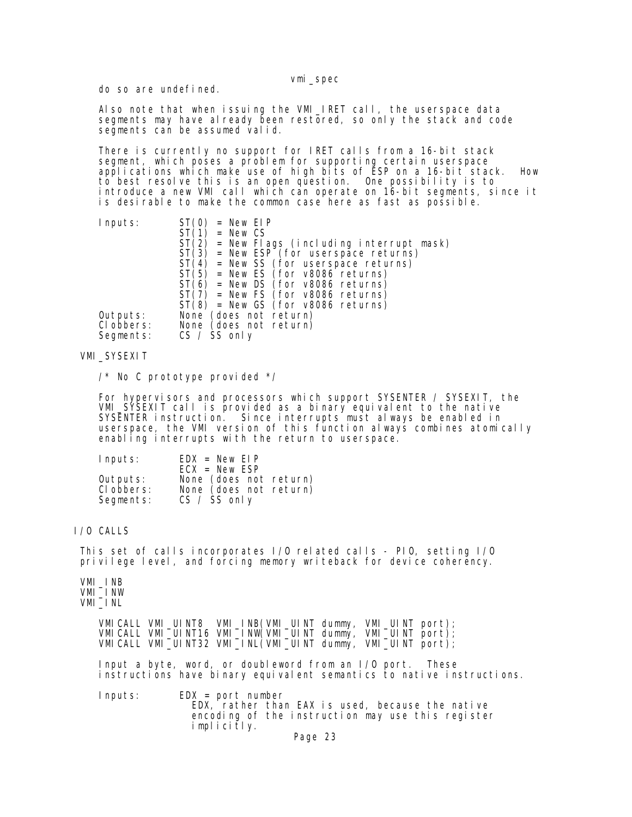do so are undefined.

 Also note that when issuing the VMI\_IRET call, the userspace data segments may have already been restored, so only the stack and code segments can be assumed valid.

 There is currently no support for IRET calls from a 16-bit stack segment, which poses a problem for supporting certain userspace applications which make use of high bits of ESP on a 16-bit stack. How to best resolve this is an open question. One possibility is to introduce a new VMI call which can operate on 16-bit segments, since it is desirable to make the common case here as fast as possible.

| Inputs:    | New EIP<br>$=$                                 |
|------------|------------------------------------------------|
|            | $=$ New CS                                     |
|            | ST (<br>= New Flags (including interrupt mask) |
|            | $ST(3)$ = New ESP (for userspace returns)      |
|            | $ST(4)$ = New SS (for userspace returns)       |
|            | $ST(5)$ = New ES (for $v8086$ returns)         |
|            | $ST(6)$ = New DS (for v8086 returns)           |
|            | $ST(7)$ = New FS (for v8086 returns)           |
|            | $ST(8)$ = New GS (for v8086 returns)           |
| Outputs:   | None (does not return)                         |
| CI obbers: | None (does not return)                         |
| Segments:  | $CS / SS$ only                                 |

VMI\_SYSEXIT

/\* No C prototype provided \*/

 For hypervisors and processors which support SYSENTER / SYSEXIT, the VMI\_SYSEXIT call is provided as a binary equivalent to the native SYSENTER instruction. Since interrupts must always be enabled in userspace, the VMI version of this function always combines atomically enabling interrupts with the return to userspace.

| Inputs:                             | $EDX = New EIP$<br>$ECX = New ESP$                                 |
|-------------------------------------|--------------------------------------------------------------------|
| Outputs:<br>CI obbers:<br>Segments: | None (does not return)<br>None (does not return)<br>$CS / SS$ only |

## I/O CALLS

 This set of calls incorporates I/O related calls - PIO, setting I/O privilege level, and forcing memory writeback for device coherency.

 VMI\_INB VMI\_INW VMI\_INL

 VMICALL VMI\_UINT8 VMI\_INB(VMI\_UINT dummy, VMI\_UINT port); VMICALL VMI\_UINT16 VMI\_INW(VMI\_UINT dummy, VMI\_UINT port); VMICALL VMI\_UINT32 VMI\_INL(VMI\_UINT dummy, VMI\_UINT port);

> Input a byte, word, or doubleword from an I/O port. These instructions have binary equivalent semantics to native instructions.

 Inputs: EDX = port number EDX, rather than EAX is used, because the native encoding of the instruction may use this register implicitly.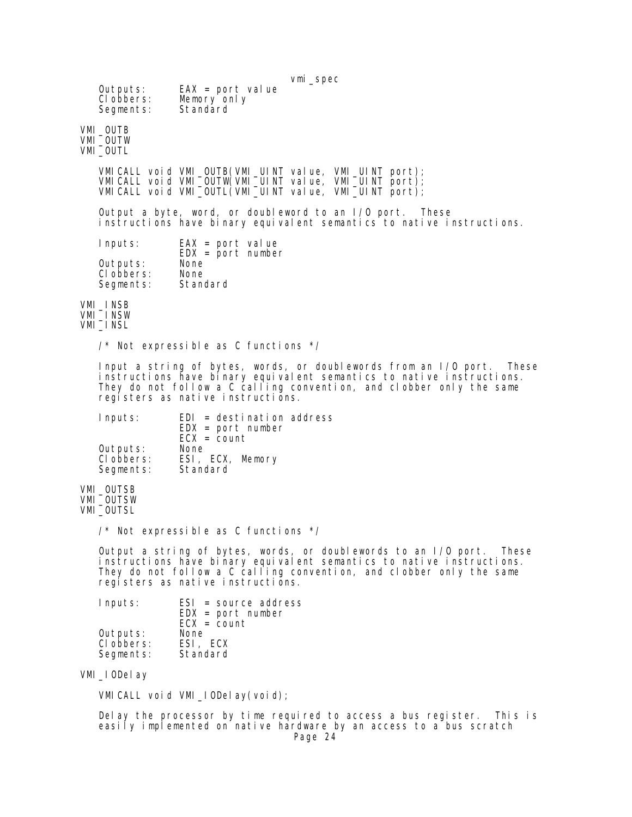| Outputs:<br>CI obbers:<br>Segments: | Vml_spec<br>$EAX = port$ value<br>Memory only<br>Standard                                                                                                                                                                                                       |  |
|-------------------------------------|-----------------------------------------------------------------------------------------------------------------------------------------------------------------------------------------------------------------------------------------------------------------|--|
| VMI OUTB<br>VMI_OUTW<br>VMI_OUTL    |                                                                                                                                                                                                                                                                 |  |
|                                     | VMI CALL void VMI_OUTB(VMI_UINT value, VMI_UINT port);<br>VMICALL void VMI_OUTW(VMI_UINT value, VMI_UINT port);<br>VMI CALL void VMI $\text{\_OUTL}$ (VMI $\text{\_UI}$ NT value, VMI $\text{\_UI}$ NT port);                                                   |  |
|                                     | Output a byte, word, or doubleword to an I/O port. These<br>instructions have binary equivalent semantics to native instructions.                                                                                                                               |  |
| Inputs:                             | $EAX = port$ value<br>$EDX = port number$                                                                                                                                                                                                                       |  |
| Outputs:<br>CI obbers:<br>Segments: | None<br>None<br>Standard                                                                                                                                                                                                                                        |  |
| VMI_INSB<br>VMI_INSW<br>VMI_INSL    |                                                                                                                                                                                                                                                                 |  |
|                                     | /* Not expressible as C functions */                                                                                                                                                                                                                            |  |
|                                     | Input a string of bytes, words, or doublewords from an I/O port.<br>lhese<br>instructions have binary equivalent semantics to native instructions.<br>They do not follow a C calling convention, and clobber only the same<br>registers as native instructions. |  |
| Inputs:                             | $EDI = desti$ nation address<br>$EDX = port number$                                                                                                                                                                                                             |  |
| Outputs:<br>CI obbers:<br>Segments: | $ECX = count$<br>None<br>ESI, ECX, Memory<br>Standard                                                                                                                                                                                                           |  |
| VMI_OUTSB<br>VMI_OUTSW<br>VMI_OUTSL |                                                                                                                                                                                                                                                                 |  |
|                                     | $\prime^*$ Not expressible as C functions $\prime\prime$                                                                                                                                                                                                        |  |
|                                     | Output a string of bytes, words, or doublewords to an I/O port.<br>These<br>instructions have binary equivalent semantics to native instructions.                                                                                                               |  |

 They do not follow a C calling convention, and clobber only the same registers as native instructions.

| Inputs:    | $ESI = source address$<br>$EDX = port number$<br>$ECX = count$ |
|------------|----------------------------------------------------------------|
| Outputs:   | None                                                           |
| CI obbers: | ESI, ECX                                                       |
| Segments:  | Standard                                                       |

VMI\_IODelay

VMICALL void VMI\_IODelay(void);

 Delay the processor by time required to access a bus register. This is easily implemented on native hardware by an access to a bus scratch Page 24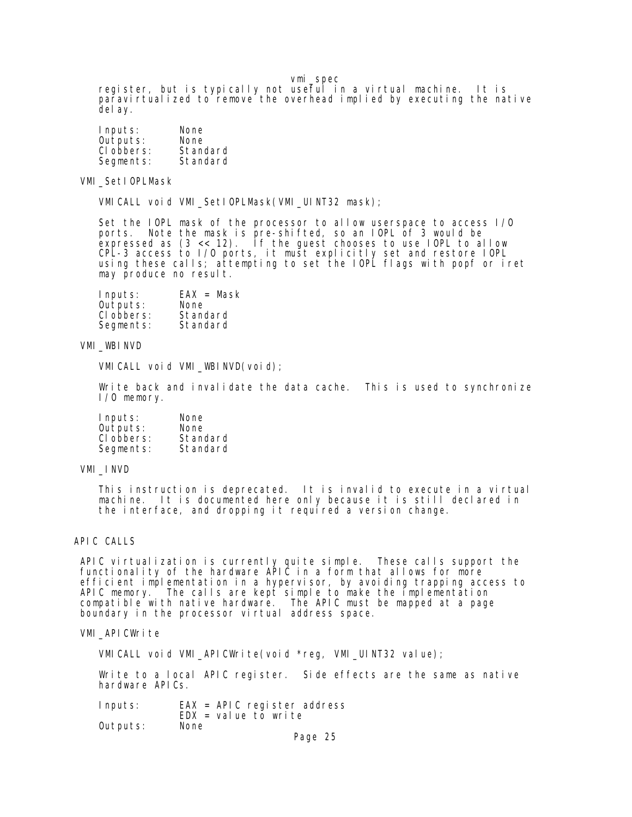register, but is typically not useful in a virtual machine. It is paravirtualized to remove the overhead implied by executing the native delay.

| Inputs:    | None     |
|------------|----------|
| Outputs:   | None     |
| CI obbers: | Standard |
| Segments:  | Standard |

VMI\_SetIOPLMask

VMICALL void VMI\_SetIOPLMask(VMI\_UINT32 mask);

 Set the IOPL mask of the processor to allow userspace to access I/O ports. Note the mask is pre-shifted, so an IOPL of 3 would be expressed as (3 << 12). If the guest chooses to use IOPL to allow CPL-3 access to I/O ports, it must explicitly set and restore IOPL using these calls; attempting to set the IOPL flags with popf or iret may produce no result.

| Inputs:    | $EAX = Mask$ |
|------------|--------------|
| Outputs:   | None         |
| CI obbers: | Standard     |
| Segments:  | Standard     |

## VMI\_WBINVD

VMI CALL void VMI WBINVD(void);

Write back and invalidate the data cache. This is used to synchronize I/O memory.

| Inputs:    | None     |
|------------|----------|
| Outputs:   | None     |
| CI obbers: | Standard |
| Segments:  | Standard |

## VMI\_INVD

 This instruction is deprecated. It is invalid to execute in a virtual machine. It is documented here only because it is still declared in the interface, and dropping it required a version change.

## APIC CALLS

 APIC virtualization is currently quite simple. These calls support the functionality of the hardware APIC in a form that allows for more efficient implementation in a hypervisor, by avoiding trapping access to APIC memory. The calls are kept simple to make the implementation compatible with native hardware. The APIC must be mapped at a page boundary in the processor virtual address space.

### VMI\_APICWrite

VMICALL void VMI\_APICWrite(void \*reg, VMI\_UINT32 value);

 Write to a local APIC register. Side effects are the same as native hardware APICs.

 Inputs: EAX = APIC register address EDX = value to write<br>None Outputs: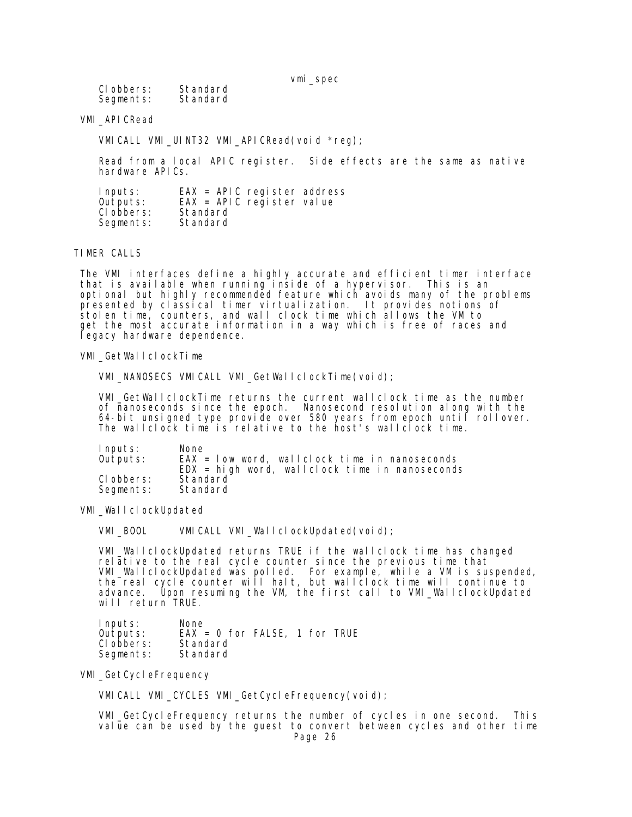| CI obbers: | Standard |
|------------|----------|
| Segments:  | Standard |

VMI\_APICRead

VMI CALL VMI\_UINT32 VMI\_APICRead(void \*reg);

 Read from a local APIC register. Side effects are the same as native hardware APICs.

| Inputs:    | $EAX = APIC$ register address |
|------------|-------------------------------|
| Outputs:   | $EAX = APIC$ register value   |
| CI obbers: | Standard                      |
| Segments:  | Standard                      |

#### TIMER CALLS

 The VMI interfaces define a highly accurate and efficient timer interface that is available when running inside of a hypervisor. This is an optional but highly recommended feature which avoids many of the problems presented by classical timer virtualization. It provides notions of stolen time, counters, and wall clock time which allows the VM to get the most accurate information in a way which is free of races and legacy hardware dependence.

VMI\_GetWallclockTime

VMI\_NANOSECS VMICALL VMI\_GetWallclockTime(void);

 VMI\_GetWallclockTime returns the current wallclock time as the number of nanoseconds since the epoch. Nanosecond resolution along with the 64-bit unsigned type provide over 580 years from epoch until rollover. The wallclock time is relative to the host's wallclock time.

| Inputs:    | None                                              |
|------------|---------------------------------------------------|
| Outputs:   | $EAX = Iow word$ wallclock time in nanoseconds    |
|            | $EDX = hi$ gh word, wallclock time in nanoseconds |
| CI obbers: | Standard                                          |
| Segments:  | Standard                                          |

VMI\_WallclockUpdated

VMI\_BOOL VMICALL VMI\_WallclockUpdated(void);

 VMI\_WallclockUpdated returns TRUE if the wallclock time has changed relative to the real cycle counter since the previous time that VMI\_WallclockUpdated was polled. For example, while a VM is suspended, the real cycle counter will halt, but wallclock time will continue to advance. Upon resuming the VM, the first call to VMI\_WallclockUpdated will return TRUE.

Inputs: None<br>Outputs: EAX  $EAX = 0$  for FALSE, 1 for TRUE<br>Standard Clobbers: Standard<br>Segments: Standard Segments:

### VMI\_GetCycleFrequency

VMICALL VMI CYCLES VMI GetCycleFrequency(void);

 VMI\_GetCycleFrequency returns the number of cycles in one second. This value can be used by the guest to convert between cycles and other time Page 26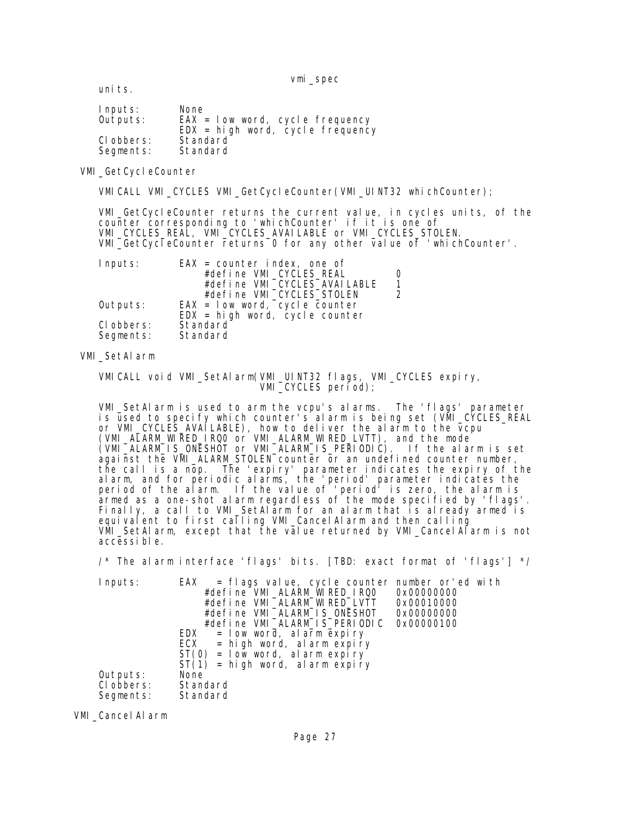uni ts.

| Inputs:    | None                                 |
|------------|--------------------------------------|
| Outputs:   | $EAX = Iow word, cycle frequency$    |
|            | $EDX = hi gh word$ , cycle frequency |
| CI obbers: | Standard                             |
| Segments:  | Standard                             |

## VMI\_GetCycleCounter

VMICALL VMI\_CYCLES VMI\_GetCycleCounter(VMI\_UINT32 whichCounter);

 VMI\_GetCycleCounter returns the current value, in cycles units, of the counter corresponding to 'whichCounter' if it is one of VMI\_CYCLES\_REAL, VMI\_CYCLES\_AVAILABLE or VMI\_CYCLES\_STOLEN. VMI\_GetCycleCounter returns 0 for any other value of 'whichCounter'.

| Inputs:    | $EAX = counter index, one of$    |  |
|------------|----------------------------------|--|
|            | #define VMI_CYCLES_REAL          |  |
|            | #define VMI_CYCLES_AVAI LABLE    |  |
|            | #define VMI_CYCLES_STOLEN        |  |
| Outputs:   | $EAX = Iow word, cycle counter$  |  |
|            | $EDX = high word, cycle counter$ |  |
| CI obbers: | Standard                         |  |
| Segments:  | Standard                         |  |

## VMI\_SetAlarm

 VMICALL void VMI\_SetAlarm(VMI\_UINT32 flags, VMI\_CYCLES expiry, VMI\_CYCLES period);

 VMI\_SetAlarm is used to arm the vcpu's alarms. The 'flags' parameter is used to specify which counter's alarm is being set (VMI\_CYCLES\_REAL or VMI\_CYCLES\_AVAILABLE), how to deliver the alarm to the vcpu (VMI\_ALARM\_WIRED\_IRQ0 or VMI\_ALARM\_WIRED\_LVTT), and the mode (VMI\_ALARM\_IS\_ONESHOT or VMI\_ALARM\_IS\_PERIODIC). If the alarm is set against the VMI\_ALARM\_STOLEN counter or an undefined counter number, the call is a nop. The 'expiry' parameter indicates the expiry of the alarm, and for periodic alarms, the 'period' parameter indicates the period of the alarm. If the value of 'period' is zero, the alarm is armed as a one-shot alarm regardless of the mode specified by 'flags'. Finally, a call to VMI\_SetAlarm for an alarm that is already armed is equivalent to first calling VMI\_CancelAlarm and then calling VMI\_SetAlarm, except that the value returned by VMI\_CancelAlarm is not accessible.

/\* The alarm interface 'flags' bits. [TBD: exact format of 'flags'] \*/

| Inputs:            | $EAX = f \text{ lags value}, \text{ cycle counter number or ed with}$ |            |
|--------------------|-----------------------------------------------------------------------|------------|
|                    | #define VMI_ALARM_WIRED_IRQ0                                          | 0x00000000 |
|                    | #define VMI_ALARM_WIRED_LVTT                                          | 0x00010000 |
|                    | #define VMI_ALARM_IS_ONESHOT                                          | 0x00000000 |
|                    | #define VMI_ALARM_IS_PERIODIC                                         | 0x00000100 |
|                    | EDX<br>$=$ low word, alarm expiry                                     |            |
|                    | ECX<br>$=$ high word, alarm expiry                                    |            |
|                    | $ST(0) = Iow word$ , al arm expiry                                    |            |
|                    | $ST(1)$ = high word, alarm expiry                                     |            |
| Outputs:           | None                                                                  |            |
| CI obbers:         | Standard                                                              |            |
| Segments: Standard |                                                                       |            |

VMI\_CancelAlarm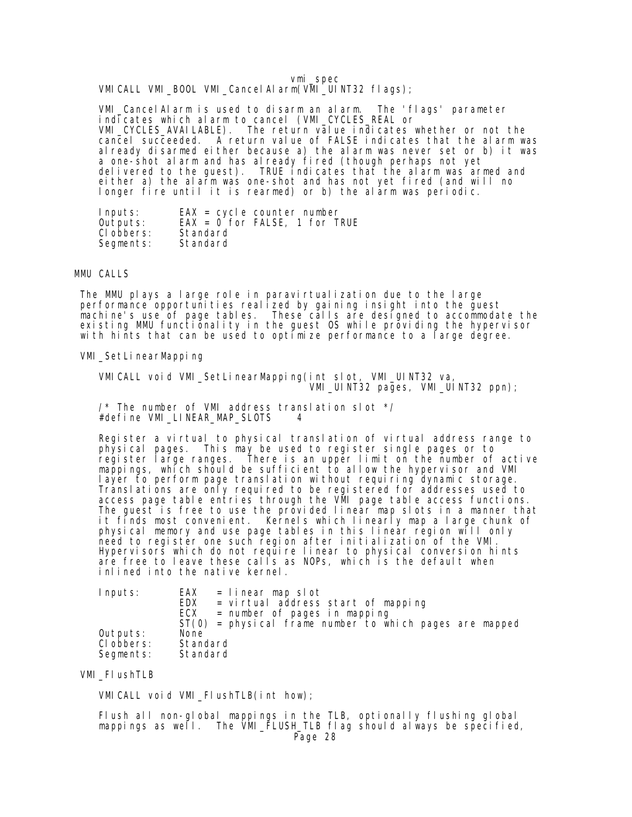vmi\_spec VMICALL VMI\_BOOL VMI\_CancelAlarm(VMI\_UINT32 flags);

 VMI\_CancelAlarm is used to disarm an alarm. The 'flags' parameter indicates which alarm to cancel (VMI\_CYCLES\_REAL or VMI\_CYCLES\_AVAILABLE). The return value indicates whether or not the cancel succeeded. A return value of FALSE indicates that the alarm was already disarmed either because a) the alarm was never set or b) it was a one-shot alarm and has already fired (though perhaps not yet delivered to the guest). TRUE indicates that the alarm was armed and either a) the alarm was one-shot and has not yet fired (and will no longer fire until it is rearmed) or b) the alarm was periodic.

 Inputs: EAX = cycle counter number Outputs: EAX = 0 for FALSE, 1 for TRUE Clobbers: Standard<br>Segments: Standard Segments:

### MMU CALLS

 The MMU plays a large role in paravirtualization due to the large performance opportunities realized by gaining insight into the guest machine's use of page tables. These calls are designed to accommodate the existing MMU functionality in the guest OS while providing the hypervisor with hints that can be used to optimize performance to a large degree.

VMI\_SetLinearMapping

 VMICALL void VMI\_SetLinearMapping(int slot, VMI\_UINT32 va, VMI\_UINT32 pages, VMI\_UINT32 ppn);

 /\* The number of VMI address translation slot \*/ #define VMI\_LINEAR\_MAP\_SLOTS 4

Register a virtual to physical translation of virtual address range to<br>physical pages. This may be used to register single pages or to This may be used to register single pages or to register large ranges. There is an upper limit on the number of active mappings, which should be sufficient to allow the hypervisor and VMI layer to perform page translation without requiring dynamic storage. Translations are only required to be registered for addresses used to access page table entries through the VMI page table access functions. The guest is free to use the provided linear map slots in a manner that it finds most convenient. Kernels which linearly map a large chunk of physical memory and use page tables in this linear region will only need to register one such region after initialization of the VMI. Hypervisors which do not require linear to physical conversion hints are free to leave these calls as NOPs, which is the default when inlined into the native kernel.

| Inputs:                             | EAX<br>= linear map slot<br><b>EDX</b><br>= virtual address start of mapping<br>ECX<br>$=$ number of pages in mapping |
|-------------------------------------|-----------------------------------------------------------------------------------------------------------------------|
| Outputs:<br>CI obbers:<br>Segments: | $ST(0)$ = physical frame number to which pages are mapped<br>None<br>Standard<br>Standard                             |

VMI\_FlushTLB

VMICALL void VMI\_FlushTLB(int how);

 Flush all non-global mappings in the TLB, optionally flushing global mappings as well. The VMI\_FLUSH\_TLB flag should always be specified, Page 28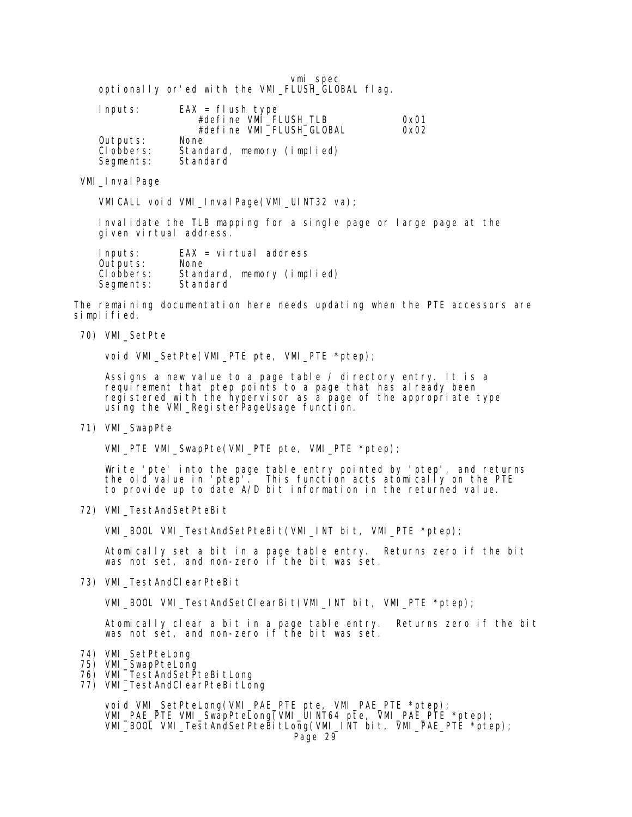|                                                  |  |  | vmi spec |  |
|--------------------------------------------------|--|--|----------|--|
| optionally or ed with the VMI_FLUSH_GLOBAL flag. |  |  |          |  |

| Inputs:    | $EAX = f$ ush type         |      |
|------------|----------------------------|------|
|            | #define VMI_FLUSH_TLB      | 0x01 |
|            | #define VMI_FLUSH_GLOBAL   | 0x02 |
| Outputs:   | None                       |      |
| CI obbers: | Standard, memory (implied) |      |
| Segments:  | Standard                   |      |

VMI\_Inval Page

VMICALL void VMI\_InvalPage(VMI\_UINT32 va);

 Invalidate the TLB mapping for a single page or large page at the given virtual address.

| Inputs:    | $EAX = virtual address$    |
|------------|----------------------------|
| Outputs:   | None                       |
| CI obbers: | Standard, memory (implied) |
| Segments:  | Standard                   |

 The remaining documentation here needs updating when the PTE accessors are simplified.

70) VMI\_SetPte

void VMI\_SetPte(VMI\_PTE pte, VMI\_PTE \*ptep);

 Assigns a new value to a page table / directory entry. It is a requirement that ptep points to a page that has already been registered with the hypervisor as a page of the appropriate type using the VMI\_RegisterPageUsage function.

71) VMI\_SwapPte

VMI\_PTE VMI\_SwapPte(VMI\_PTE pte, VMI\_PTE \*ptep);

 Write 'pte' into the page table entry pointed by 'ptep', and returns the old value in 'ptep'. This function acts atomically on the PTE to provide up to date A/D bit information in the returned value.

72) VMI\_TestAndSetPteBit

VMI\_BOOL VMI\_TestAndSetPteBit(VMI\_INT bit, VMI\_PTE \*ptep);

 Atomically set a bit in a page table entry. Returns zero if the bit was not set, and non-zero if the bit was set.

73) VMI\_TestAndClearPteBit

VMI\_BOOL VMI\_TestAndSetClearBit(VMI\_INT bit, VMI\_PTE \*ptep);

 Atomically clear a bit in a page table entry. Returns zero if the bit was not set, and non-zero if the bit was set.

- 74) VMI\_SetPteLong
- 75) VMI\_SwapPteLong
- 76) VMI\_TestAndSetPteBitLong
- 77) VMI\_TestAndClearPteBitLong

 void VMI\_SetPteLong(VMI\_PAE\_PTE pte, VMI\_PAE\_PTE \*ptep); VMI\_PAE\_PTE VMI\_SwapPteLong(VMI\_UINT64 pte, VMI\_PAE\_PTE \*ptep); VMI\_BOOL VMI\_TestAndSetPteBitLong(VMI\_INT bit, VMI\_PAE\_PTE \*ptep); Page 29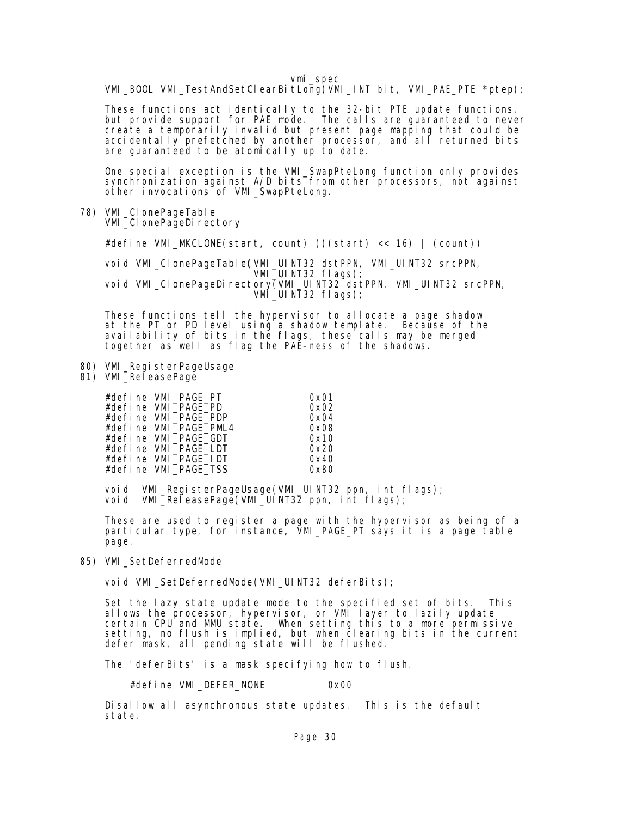VMI\_BOOL VMI\_TestAndSetClearBitLong(VMI\_INT bit, VMI\_PAE\_PTE \*ptep);

 These functions act identically to the 32-bit PTE update functions, but provide support for PAE mode. The calls are guaranteed to never create a temporarily invalid but present page mapping that could be accidentally prefetched by another processor, and all returned bits are guaranteed to be atomically up to date.

> One special exception is the VMI\_SwapPteLong function only provides synchronization against A/D bits from other processors, not against other invocations of VMI\_SwapPteLong.

78) VMI\_CI onePageTabl e VMI\_CI onePageDirectory

#define VMI\_MKCLONE(start, count) (((start) << 16) | (count))

 void VMI\_ClonePageTable(VMI\_UINT32 dstPPN, VMI\_UINT32 srcPPN, VMI\_UINT32 flags); void VMI\_CIonePageDirectory(VMI\_UINT32 dstPPN, VMI\_UINT32 srcPPN, VMI $\_$ UINT32 flags);

 These functions tell the hypervisor to allocate a page shadow at the PT or PD level using a shadow template. Because of the availability of bits in the flags, these calls may be merged together as well as flag the PAE-ness of the shadows.

- 80) VMI\_RegisterPageUsage
- 81) VMI\_ReleasePage

| #define VMI_PAGE_PT   | 0x01 |
|-----------------------|------|
| #define VMI_PAGE_PD   | 0x02 |
| #define VMI_PAGE_PDP  | 0x04 |
| #define VMI_PAGE_PML4 | 0x08 |
| #define VMI_PAGE_GDT  | 0x10 |
| #define VMI_PAGE_LDT  | 0x20 |
| #define VMI PAGE IDT  | 0x40 |
| #define VMI_PAGE_TSS  | 0x80 |

 void VMI\_RegisterPageUsage(VMI\_UINT32 ppn, int flags); void VMI\_ReleasePage(VMI\_UINT32 ppn, int flags);

> These are used to register a page with the hypervisor as being of a particular type, for instance, VMI\_PAGE\_PT says it is a page table page.

## 85) VMI\_SetDeferredMode

void VMI\_SetDeferredMode(VMI\_UINT32 deferBits);

 Set the lazy state update mode to the specified set of bits. This allows the processor, hypervisor, or VMI layer to lazily update certain CPU and MMU state. When setting this to a more permissive setting, no flush is implied, but when clearing bits in the current defer mask, all pending state will be flushed.

The 'deferBits' is a mask specifying how to flush.

#define VMI\_DEFER\_NONE 0x00

 Disallow all asynchronous state updates. This is the default state.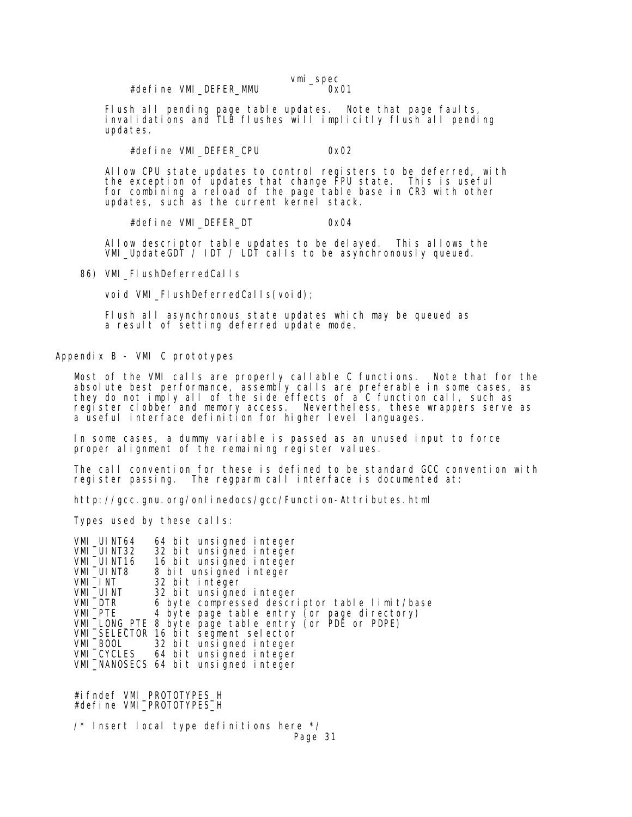vmi\_spec<br>0x01

Flush all pending page table updates. Note that page faults, invalidations and TLB flushes will implicitly flush all pending updates.

#define VMI\_DEFER\_CPU 0x02

 Allow CPU state updates to control registers to be deferred, with the exception of updates that change FPU state. This is useful for combining a reload of the page table base in CR3 with other updates, such as the current kernel stack.

#define VMI\_DEFER\_DT 0x04

 Allow descriptor table updates to be delayed. This allows the VMI\_UpdateGDT / IDT / LDT calls to be asynchronously queued.

86) VMI\_FIushDeferredCalls

void VMI\_FIushDeferredCalls(void);

 Flush all asynchronous state updates which may be queued as a result of setting deferred update mode.

Appendix B - VMI C prototypes

 Most of the VMI calls are properly callable C functions. Note that for the absolute best performance, assembly calls are preferable in some cases, as they do not imply all of the side effects of a C function call, such as register clobber and memory access. Nevertheless, these wrappers serve as a useful interface definition for higher level languages.

 In some cases, a dummy variable is passed as an unused input to force proper alignment of the remaining register values.

The call convention for these is defined to be standard GCC convention with register passing. The regparm call interface is documented at: The regparm call interface is documented at:

http://gcc.gnu.org/onlinedocs/gcc/Function-Attributes.html

Types used by these calls:

VMI\_UINT64 64 bit unsigned integer<br>VMI\_UINT32 32 bit unsigned integer VMI\_UINT32 32 bit unsigned integer<br>VMI\_UINT16 16 bit unsigned integer VMI\_UINT16 16 bit unsigned integer<br>VMI\_UINT8 8 bit unsigned integer<br>VMI\_INT 32 bit integer<br>VMI\_UINT 32 bit unsigned integer<br>VMI\_DTR 6 byte compressed descr 8 bit unsigned integer 32 bit integer 32 bit unsigned integer 6 byte compressed descriptor table limit/base VMI\_PTE 4 byte page table entry (or page directory) VMI\_LONG\_PTE 8 byte page table entry (or PDE or PDPE) VMI\_SELECTOR 16 bit segment selector<br>VMI\_BOOL\_\_\_\_\_32 bit unsigned integer VMI\_BOOL 32 bit unsigned integer 64 bit unsigned integer VMI\_NANOSECS 64 bit unsigned integer

 #ifndef VMI\_PROTOTYPES\_H #define VMI\_PROTOTYPES\_H

 $\frac{1}{2}$  Insert local type definitions here  $\frac{1}{2}$ Page 31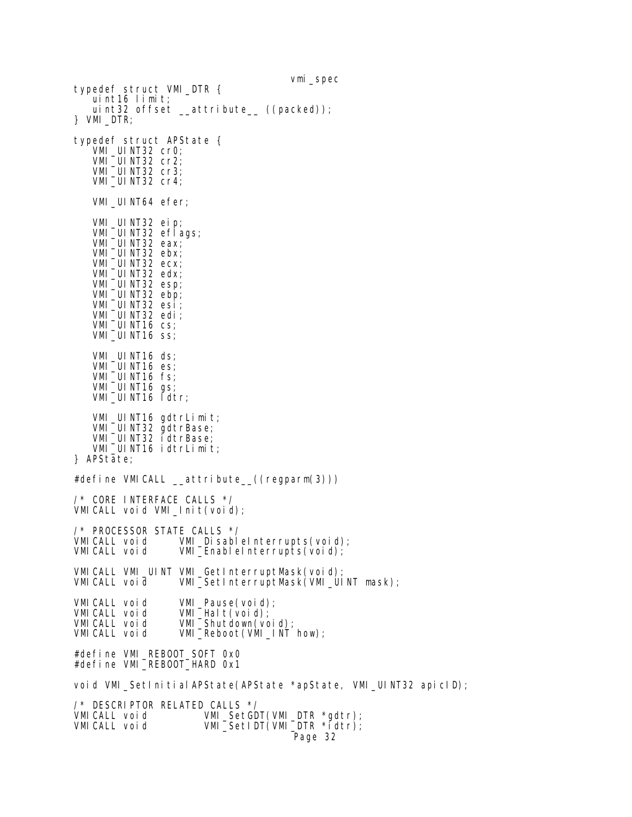vmi\_spec typedef struct VMI\_DTR { uint16 limit; uint32 offset  $_$ -attribute<sub>-((packed));</sub> } VMI\_DTR; typedef struct APState { VMI\_UINT32 cr0; VMI\_UINT32 cr2; VMI\_UINT32 cr3; VMI\_UINT32 cr4; VMI\_UINT64 efer; VMI UINT32 eip; VMI\_UINT32 eflags; VMI\_UINT32 eax; VMI\_UINT32 ebx; VMI\_UINT32 ecx; VMI\_UINT32 edx; VMI\_UINT32 esp; VMI\_UINT32 ebp; VMI\_UINT32 esi; VMI\_UINT32 edi; VMI\_UINT16 cs; VMI $\overline{\phantom{a}}$ UINT16 ss; VMI\_UINT16 ds; VMI\_UINT16 es; VMI\_UINT16 fs; VMI\_UINT16 gs; VMI\_UINT16 ldtr; VMI\_UINT16 gdtrLimit; VMI\_UINT32 gdtrBase; VMI\_UINT32 idtrBase; VMI\_UINT16 idtrLimit; } APState; #define VMICALL \_\_attribute\_\_((regparm(3))) /\* CORE INTERFACE CALLS \*/ VMICALL void VMI\_Init(void); /\* PROCESSOR STATE CALLS \*/<br>VMICALL void VMI\_Disabl VMICALL void VMI\_DisableInterrupts(void); VMI\_EnableInterrupts(void); VMICALL VMI\_UINT VMI\_GetInterruptMask(void); VMICALL void VMI\_SetInterruptMask(VMI\_UINT mask); VMICALL void VMI\_Pause(void);<br>VMICALL void VMI\_Halt(void); VMICALL void VMI\_Halt(void);<br>VMICALL void VMI\_Shutdown(vo VMICALL void VMI\_Shutdown(void); VMI\_Reboot(VMI\_INT how); #define VMI\_REBOOT\_SOFT 0x0 #define VMI\_REBOOT\_HARD 0x1 void VMI\_SetInitialAPState(APState \*apState, VMI\_UINT32 apicID); /\* DESCRIPTOR RELATED CALLS \*/ VMI\_SetGDT(VMI\_DTR \*gdtr); VMICALL void VMI\_SetIDT(VMI\_DTR \*idtr); Page 32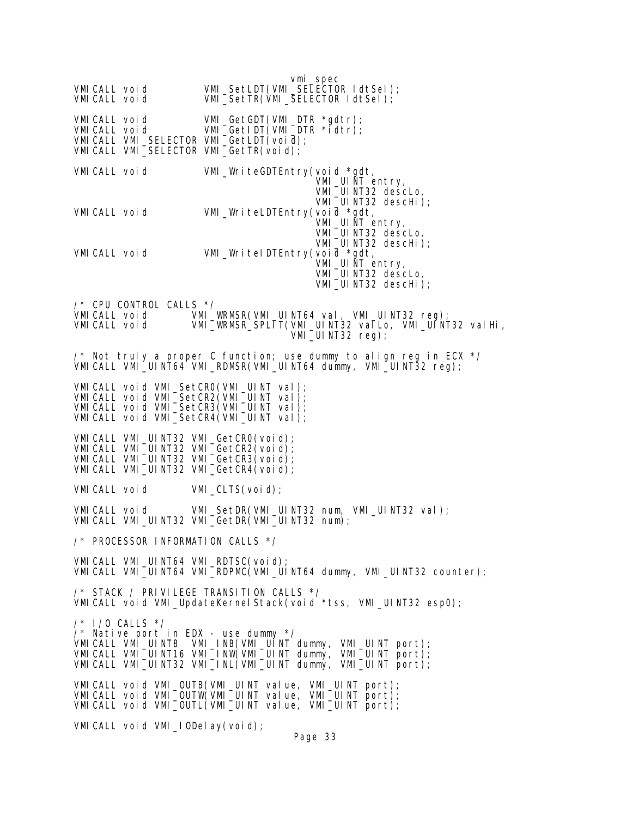vmi\_spec VMICALL void VMI\_SetLDT(VMI\_SELECTOR ldtSel); VMI\_SetTR(VMI\_SELECTOR ldtSel); VMICALL void VMI\_GetGDT(VMI\_DTR \*gdtr); VMICALL void VMI\_GetIDT(VMI\_DTR \*idtr); VMICALL VMI\_SELECTOR VMI\_GetLDT(void); VMICALL VMI\_SELECTOR VMI\_GetTR(void); VMICALL void VMI\_WriteGDTEntry(void \*gdt, VMI\_UINT entry, VMI\_UINT32 descLo, VMI\_UINT32 descHi); VMI\_WriteLDTEntry(void \*gdt, VMI UINT entry, VMI\_UINT32 descLo, VMI\_UINT32 descHi); VMICALL void VMI\_WriteIDTEntry(void \*gdt, VMI\_UINT entry, VMI\_UINT32 descLo, VMI\_UINT32 descHi); /\* CPU CONTROL CALLS \*/ VMICALL void VMI\_WRMSR(VMI\_UINT64 val, VMI\_UINT32 reg); VMICALL void VMI\_WRMSR\_SPLIT(VMI\_UINT32 valLo, VMI\_UINT32 valHi, VMI\_UINT32 reg); /\* Not truly a proper C function; use dummy to align reg in ECX \*/ VMICALL VMI\_UINT64 VMI\_RDMSR(VMI\_UINT64 dummy, VMI\_UINT32 reg); VMICALL void VMI\_SetCR0(VMI\_UINT val); VMICALL void VMI\_SetCR2(VMI\_UINT val); VMICALL void VMI\_SetCR3(VMI\_UINT val); VMI CALL void VMI\_SetCR4(VMI\_UINT val); VMICALL VMI UINT32 VMI GetCRO(void); VMI CALL VMI\_UI NT32 VMI\_GetCR2(void); VMI CALL VMI\_UI NT32 VMI\_GetCR3(void); VMI CALL VMI\_UINT32 VMI\_GetCR4(void); VMICALL void VMI\_CLTS(void); VMICALL void VMI\_SetDR(VMI\_UINT32 num, VMI\_UINT32 val); VMICALL VMI\_UINT32 VMI\_GetDR(VMI\_UINT32 num); /\* PROCESSOR INFORMATION CALLS \*/ VMICALL VMI\_UINT64 VMI\_RDTSC(void); VMICALL VMI\_UINT64 VMI\_RDPMC(VMI\_UINT64 dummy, VMI\_UINT32 counter); /\* STACK / PRIVILEGE TRANSITION CALLS \*/ VMICALL void VMI\_UpdateKernelStack(void \*tss, VMI\_UINT32 esp0); /\* I/O CALLS \*/ /\* Native port in EDX - use dummy \*/ VMICALL VMI\_UINT8 VMI\_INB(VMI\_UINT dummy, VMI\_UINT port); VMICALL VMI\_UINT16 VMI\_INW(VMI\_UINT dummy, VMI\_UINT port); VMICALL VMI\_UINT32 VMI\_INL(VMI\_UINT dummy, VMI\_UINT port); VMICALL void VMI\_OUTB(VMI\_UINT value, VMI\_UINT port); VMICALL void VMI\_OUTW(VMI\_UINT value, VMI\_UINT port); VMICALL void VMI\_OUTL(VMI\_UINT value, VMI\_UINT port); VMICALL void VMI\_IODelay(void);

Page 33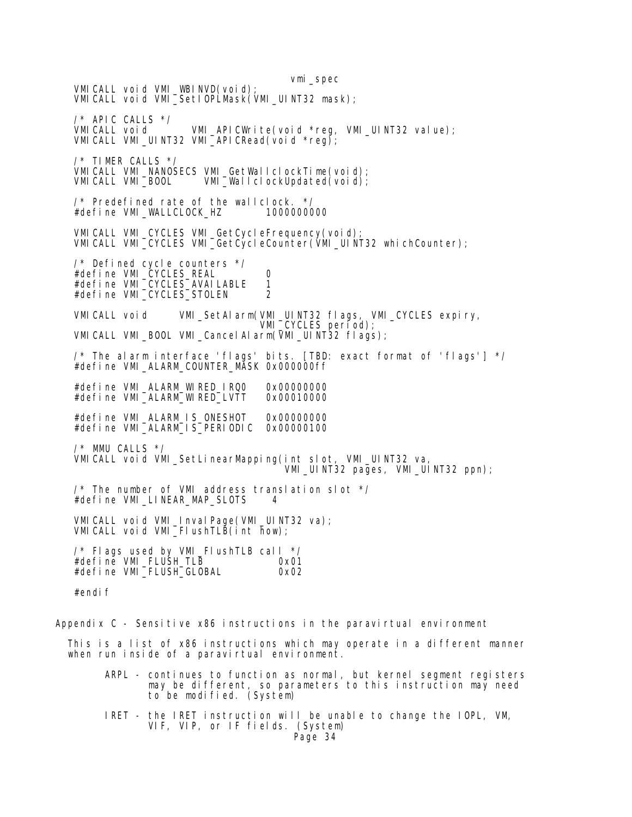vmi\_spec VMICALL void VMI\_WBINVD(void); VMICALL void VMI\_SetIOPLMask(VMI\_UINT32 mask); /\* APIC CALLS \*/ VMICALL void VMI\_APICWrite(void \*reg, VMI\_UINT32 value); VMICALL VMI\_UINT32 VMI\_APICRead(void \*reg); /\* TIMER CALLS \*/ VMICALL VMI\_NANOSECS VMI\_GetWallclockTime(void);<br>VMICALL VMI\_BOOL VMI\_WallclockUpdated(void); VMI $\overline{\phantom{a}}$ WallclockUpdated(void); /\* Predefined rate of the wallclock. \*/ #define VMI\_WALLCLOCK\_HZ 1000000000 VMICALL VMI\_CYCLES VMI\_GetCycleFrequency(void); VMICALL VMI\_CYCLES VMI\_GetCycleCounter(VMI\_UINT32 whichCounter); /\* Defined cycle counters \*/ #define VMI\_CYCLES\_REAL 0 #define VMI\_CYCLES\_AVAILABLE 1 #define VMI\_CYCLES\_STOLEN 2 VMICALL void VMI\_SetAlarm(VMI\_UINT32 flags, VMI\_CYCLES expiry, VMI\_CYCLES period); VMI CALL VMI\_BOOL VMI\_Cancel AI arm(VMI\_UINT32 flags); /\* The alarm interface 'flags' bits. [TBD: exact format of 'flags'] \*/ #define VMI\_ALARM\_COUNTER\_MASK 0x000000ff #define VMI\_ALARM\_WIRED\_IRQ0 0x00000000 #define VMI\_ALARM\_WIRED\_LVTT #define VMI\_ALARM\_IS\_ONESHOT 0x00000000 #define VMI\_ALARM\_IS\_PERIODIC 0x00000100 /\* MMU CALLS \*/ VMICALL void VMI\_SetLinearMapping(int slot, VMI\_UINT32 va, VMI\_UINT32 pages, VMI\_UINT32 ppn); /\* The number of VMI address translation slot \*/ #define VMI\_LINEAR\_MAP\_SLOTS 4 VMI CALL void VMI\_Inval Page(VMI\_UINT32 va); VMICALL void VMI\_FIushTLB(int how); /\* Flags used by VMI\_FlushTLB call \*/ #define VMI\_FLUSH\_TLB 0x01 #define VMI\_FLUSH\_GLOBAL 0x02 #endif

Appendix  $C -$  Sensitive  $x86$  instructions in the paravirtual environment

 This is a list of x86 instructions which may operate in a different manner when run inside of a paravirtual environment.

- ARPL continues to function as normal, but kernel segment registers may be different, so parameters to this instruction may need to be modified. (System)
- IRET the IRET instruction will be unable to change the IOPL, VM, VIF, VIP, or IF fields. (System) Page 34